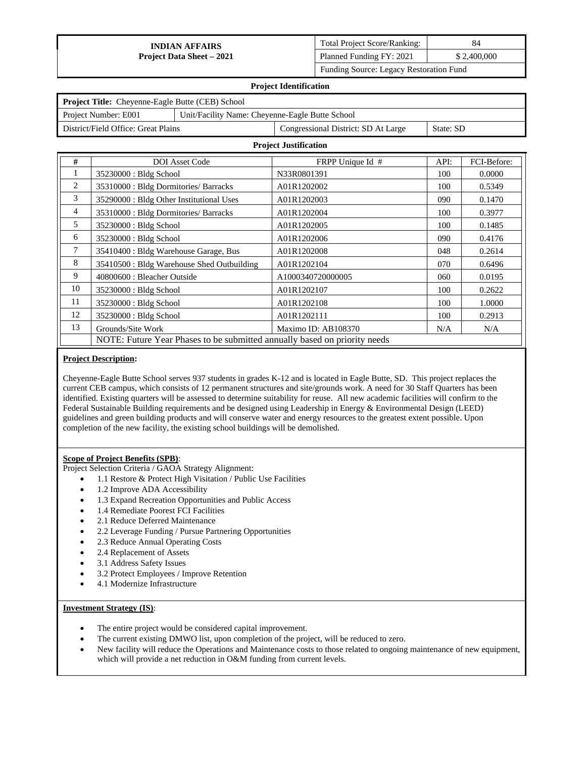| <b>Total Project Score/Ranking:</b>     | 84          |
|-----------------------------------------|-------------|
| Planned Funding FY: 2021                | \$2,400,000 |
| Funding Source: Legacy Restoration Fund |             |

#### **Project Identification**

| <b>Project Title:</b> Cheyenne-Eagle Butte (CEB) School                 |           |  |  |
|-------------------------------------------------------------------------|-----------|--|--|
| Project Number: E001<br>Unit/Facility Name: Chevenne-Eagle Butte School |           |  |  |
| District/Field Office: Great Plains                                     | State: SD |  |  |

#### **Project Justification**

| #              | <b>DOI</b> Asset Code                                                     | FRPP Unique Id #    | API: | FCI-Before: |  |
|----------------|---------------------------------------------------------------------------|---------------------|------|-------------|--|
| 1              | 35230000 : Bldg School                                                    | N33R0801391         | 100  | 0.0000      |  |
| 2              | 35310000: Bldg Dormitories/ Barracks                                      | A01R1202002         | 100  | 0.5349      |  |
| 3              | 35290000 : Bldg Other Institutional Uses                                  | A01R1202003         | 090  | 0.1470      |  |
| $\overline{4}$ | 35310000: Bldg Dormitories/ Barracks                                      | A01R1202004         | 100  | 0.3977      |  |
| 5              | 35230000 : Bldg School                                                    | A01R1202005         | 100  | 0.1485      |  |
| 6              | 35230000 : Bldg School                                                    | A01R1202006         | 090  | 0.4176      |  |
| 7              | 35410400 : Bldg Warehouse Garage, Bus                                     | A01R1202008         | 048  | 0.2614      |  |
| 8              | 35410500 : Bldg Warehouse Shed Outbuilding                                | A01R1202104         | 070  | 0.6496      |  |
| 9              | 40800600 : Bleacher Outside                                               | A1000340720000005   | 060  | 0.0195      |  |
| 10             | 35230000 : Bldg School                                                    | A01R1202107         | 100  | 0.2622      |  |
| 11             | 35230000 : Bldg School                                                    | A01R1202108         | 100  | 1.0000      |  |
| 12             | 35230000 : Bldg School                                                    | A01R1202111         | 100  | 0.2913      |  |
| 13             | Grounds/Site Work                                                         | Maximo ID: AB108370 | N/A  | N/A         |  |
|                | NOTE: Future Year Phases to be submitted annually based on priority needs |                     |      |             |  |

#### **Project Description:**

Cheyenne-Eagle Butte School serves 937 students in grades K-12 and is located in Eagle Butte, SD. This project replaces the current CEB campus, which consists of 12 permanent structures and site/grounds work. A need for 30 Staff Quarters has been identified. Existing quarters will be assessed to determine suitability for reuse. All new academic facilities will confirm to the Federal Sustainable Building requirements and be designed using Leadership in Energy & Environmental Design (LEED) guidelines and green building products and will conserve water and energy resources to the greatest extent possible. Upon completion of the new facility, the existing school buildings will be demolished.

## **Scope of Project Benefits (SPB)**:

Project Selection Criteria / GAOA Strategy Alignment:

- 1.1 Restore & Protect High Visitation / Public Use Facilities
- 1.2 Improve ADA Accessibility
- 1.3 Expand Recreation Opportunities and Public Access
- 1.4 Remediate Poorest FCI Facilities
- 2.1 Reduce Deferred Maintenance
- 2.2 Leverage Funding / Pursue Partnering Opportunities
- 2.3 Reduce Annual Operating Costs
- 2.4 Replacement of Assets
- 3.1 Address Safety Issues
- 3.2 Protect Employees / Improve Retention
- 4.1 Modernize Infrastructure

## **Investment Strategy (IS)**:

- The entire project would be considered capital improvement.
- The current existing DMWO list, upon completion of the project, will be reduced to zero.
- New facility will reduce the Operations and Maintenance costs to those related to ongoing maintenance of new equipment, which will provide a net reduction in O&M funding from current levels.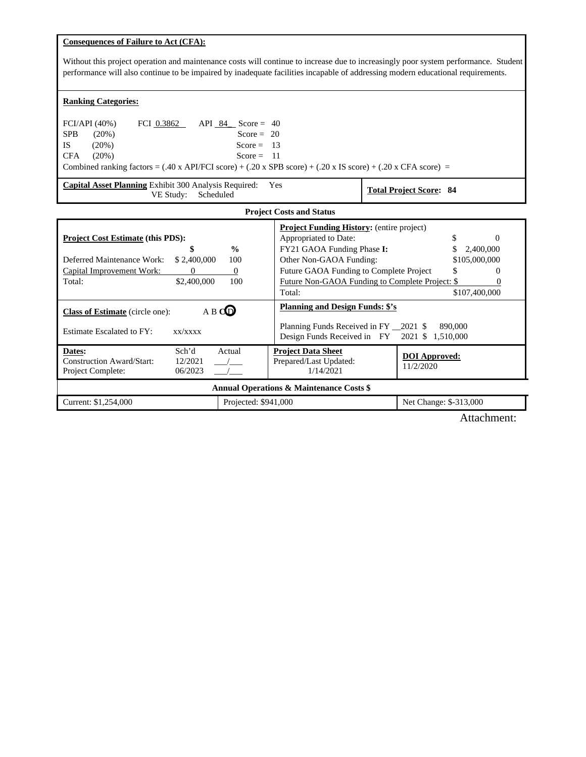# **Consequences of Failure to Act (CFA):**

Without this project operation and maintenance costs will continue to increase due to increasingly poor system performance. Student performance will also continue to be impaired by inadequate facilities incapable of addressing modern educational requirements.

# **Ranking Categories:**

| FCI/API (40%) |          | FCI 0.3862 | API 84 | Score = $40$ |                                                                                                                                                 |
|---------------|----------|------------|--------|--------------|-------------------------------------------------------------------------------------------------------------------------------------------------|
| <b>SPB</b>    | $(20\%)$ |            |        | Score = $20$ |                                                                                                                                                 |
| IS            | $(20\%)$ |            |        | Score = $13$ |                                                                                                                                                 |
| CFA           | $(20\%)$ |            |        | $Score = 11$ |                                                                                                                                                 |
|               |          |            |        |              | Combined ranking factors = $(.40 \text{ x API/FCI score}) + (.20 \text{ x SPB score}) + (.20 \text{ x IS score}) + (.20 \text{ x CFA score}) =$ |

| Capital Asset Planning Exhibit 300 Analysis Required:<br>VE Study:<br>Scheduled                                                                                                                   | Yes                                                                                                                                                                                                                                        | <b>Total Project Score: 84</b>                                |  |  |
|---------------------------------------------------------------------------------------------------------------------------------------------------------------------------------------------------|--------------------------------------------------------------------------------------------------------------------------------------------------------------------------------------------------------------------------------------------|---------------------------------------------------------------|--|--|
|                                                                                                                                                                                                   | <b>Project Costs and Status</b>                                                                                                                                                                                                            |                                                               |  |  |
| <b>Project Cost Estimate (this PDS):</b><br>$\frac{0}{0}$<br>\$<br>Deferred Maintenance Work:<br>\$2,400,000<br>100<br>$\Omega$<br>Capital Improvement Work:<br>0<br>\$2,400,000<br>100<br>Total: | <b>Project Funding History:</b> (entire project)<br>Appropriated to Date:<br>FY21 GAOA Funding Phase I:<br>Other Non-GAOA Funding:<br>Future GAOA Funding to Complete Project<br>Future Non-GAOA Funding to Complete Project: \$<br>Total: | $\Omega$<br>2,400,000<br>\$105,000,000<br>\$<br>\$107,400,000 |  |  |
| A B CO<br><b>Class of Estimate</b> (circle one):<br>Estimate Escalated to FY:<br>XX/XXXX                                                                                                          | <b>Planning and Design Funds: \$'s</b><br>Planning Funds Received in FY 2021 \$<br>Design Funds Received in FY 2021 \$                                                                                                                     | 890,000<br>1.510.000                                          |  |  |
| Dates:<br>Sch'd<br>Actual<br>Construction Award/Start:<br>12/2021<br>Project Complete:<br>06/2023                                                                                                 | <b>Project Data Sheet</b><br>Prepared/Last Updated:<br>1/14/2021                                                                                                                                                                           | <b>DOI</b> Approved:<br>11/2/2020                             |  |  |
| <b>Annual Operations &amp; Maintenance Costs \$</b>                                                                                                                                               |                                                                                                                                                                                                                                            |                                                               |  |  |

| Current: \$1,254,000 | Projected: \$941,000 | Change: \$-313,000<br>Net |
|----------------------|----------------------|---------------------------|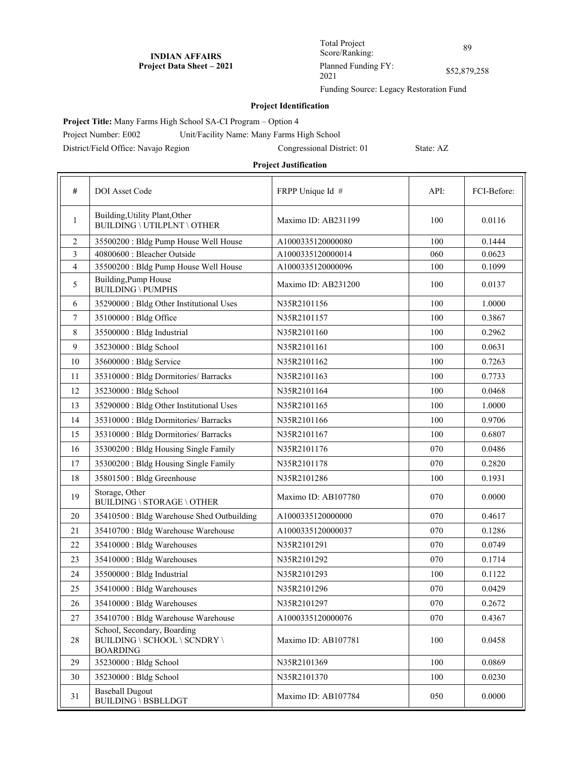Total Project Score/Ranking: 89 Planned Funding FY: Planned Funding F 1:<br>2021 852,879,258

Funding Source: Legacy Restoration Fund

## **Project Identification**

**Project Title:** Many Farms High School SA-CI Program – Option 4

Project Number: E002 Unit/Facility Name: Many Farms High School

District/Field Office: Navajo Region Congressional District: 01 State: AZ

| #              | DOI Asset Code                                                                 | FRPP Unique Id #    | API: | FCI-Before: |
|----------------|--------------------------------------------------------------------------------|---------------------|------|-------------|
| $\mathbf{1}$   | Building, Utility Plant, Other<br><b>BUILDING \ UTILPLNT \ OTHER</b>           | Maximo ID: AB231199 | 100  | 0.0116      |
| 2              | 35500200 : Bldg Pump House Well House                                          | A1000335120000080   | 100  | 0.1444      |
| 3              | 40800600 : Bleacher Outside                                                    | A1000335120000014   | 060  | 0.0623      |
| $\overline{4}$ | 35500200 : Bldg Pump House Well House                                          | A1000335120000096   | 100  | 0.1099      |
| 5              | Building, Pump House<br><b>BUILDING \ PUMPHS</b>                               | Maximo ID: AB231200 | 100  | 0.0137      |
| 6              | 35290000 : Bldg Other Institutional Uses                                       | N35R2101156         | 100  | 1.0000      |
| 7              | 35100000: Bldg Office                                                          | N35R2101157         | 100  | 0.3867      |
| 8              | 35500000 : Bldg Industrial                                                     | N35R2101160         | 100  | 0.2962      |
| 9              | 35230000 : Bldg School                                                         | N35R2101161         | 100  | 0.0631      |
| 10             | 35600000 : Bldg Service                                                        | N35R2101162         | 100  | 0.7263      |
| 11             | 35310000: Bldg Dormitories/ Barracks                                           | N35R2101163         | 100  | 0.7733      |
| 12             | 35230000 : Bldg School                                                         | N35R2101164         | 100  | 0.0468      |
| 13             | 35290000 : Bldg Other Institutional Uses                                       | N35R2101165         | 100  | 1.0000      |
| 14             | 35310000: Bldg Dormitories/ Barracks                                           | N35R2101166         | 100  | 0.9706      |
| 15             | 35310000: Bldg Dormitories/ Barracks                                           | N35R2101167         | 100  | 0.6807      |
| 16             | 35300200 : Bldg Housing Single Family                                          | N35R2101176         | 070  | 0.0486      |
| 17             | 35300200 : Bldg Housing Single Family                                          | N35R2101178         | 070  | 0.2820      |
| 18             | 35801500 : Bldg Greenhouse                                                     | N35R2101286         | 100  | 0.1931      |
| 19             | Storage, Other<br>BUILDING \ STORAGE \ OTHER                                   | Maximo ID: AB107780 | 070  | 0.0000      |
| 20             | 35410500 : Bldg Warehouse Shed Outbuilding                                     | A1000335120000000   | 070  | 0.4617      |
| 21             | 35410700 : Bldg Warehouse Warehouse                                            | A1000335120000037   | 070  | 0.1286      |
| 22             | 35410000 : Bldg Warehouses                                                     | N35R2101291         | 070  | 0.0749      |
| 23             | 35410000 : Bldg Warehouses                                                     | N35R2101292         | 070  | 0.1714      |
| 24             | 35500000 : Bldg Industrial                                                     | N35R2101293         | 100  | 0.1122      |
| 25             | 35410000 : Bldg Warehouses                                                     | N35R2101296         | 070  | 0.0429      |
| $26\,$         | 35410000: Bldg Warehouses                                                      | N35R2101297         | 070  | 0.2672      |
| 27             | 35410700 : Bldg Warehouse Warehouse                                            | A1000335120000076   | 070  | 0.4367      |
| $28\,$         | School, Secondary, Boarding<br>BUILDING \ SCHOOL \ SCNDRY \<br><b>BOARDING</b> | Maximo ID: AB107781 | 100  | 0.0458      |
| 29             | 35230000 : Bldg School                                                         | N35R2101369         | 100  | 0.0869      |
| 30             | 35230000 : Bldg School                                                         | N35R2101370         | 100  | 0.0230      |
| 31             | <b>Baseball Dugout</b><br>BUILDING \ BSBLLDGT                                  | Maximo ID: AB107784 | 050  | 0.0000      |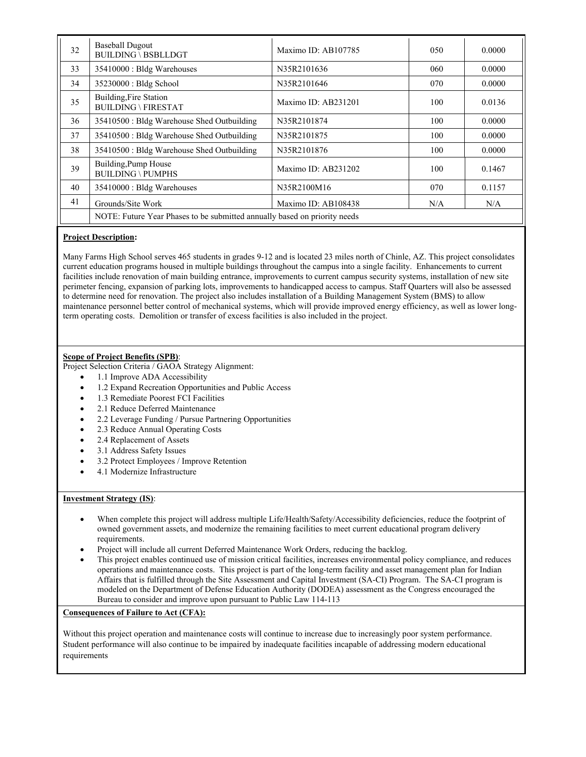| 32 | <b>Baseball Dugout</b><br><b>BUILDING \ BSBLLDGT</b>                      | Maximo ID: AB107785 | 050 | 0.0000 |
|----|---------------------------------------------------------------------------|---------------------|-----|--------|
| 33 | 35410000 : Bldg Warehouses                                                | N35R2101636         | 060 | 0.0000 |
| 34 | 35230000 : Bldg School                                                    | N35R2101646         | 070 | 0.0000 |
| 35 | Building, Fire Station<br><b>BUILDING \ FIRESTAT</b>                      | Maximo ID: AB231201 | 100 | 0.0136 |
| 36 | 35410500 : Bldg Warehouse Shed Outbuilding                                | N35R2101874         | 100 | 0.0000 |
| 37 | 35410500 : Bldg Warehouse Shed Outbuilding                                | N35R2101875         | 100 | 0.0000 |
| 38 | 35410500 : Bldg Warehouse Shed Outbuilding                                | N35R2101876         | 100 | 0.0000 |
| 39 | Building, Pump House<br><b>BUILDING \ PUMPHS</b>                          | Maximo ID: AB231202 | 100 | 0.1467 |
| 40 | 35410000 : Bldg Warehouses                                                | N35R2100M16         | 070 | 0.1157 |
| 41 | Grounds/Site Work                                                         | Maximo ID: AB108438 | N/A | N/A    |
|    | NOTE: Future Year Phases to be submitted annually based on priority needs |                     |     |        |

# **Project Description:**

Many Farms High School serves 465 students in grades 9-12 and is located 23 miles north of Chinle, AZ. This project consolidates current education programs housed in multiple buildings throughout the campus into a single facility. Enhancements to current facilities include renovation of main building entrance, improvements to current campus security systems, installation of new site perimeter fencing, expansion of parking lots, improvements to handicapped access to campus. Staff Quarters will also be assessed to determine need for renovation. The project also includes installation of a Building Management System (BMS) to allow maintenance personnel better control of mechanical systems, which will provide improved energy efficiency, as well as lower longterm operating costs. Demolition or transfer of excess facilities is also included in the project.

# **Scope of Project Benefits (SPB)**:

Project Selection Criteria / GAOA Strategy Alignment:

- 1.1 Improve ADA Accessibility
- 1.2 Expand Recreation Opportunities and Public Access
- 1.3 Remediate Poorest FCI Facilities
- 2.1 Reduce Deferred Maintenance
- 2.2 Leverage Funding / Pursue Partnering Opportunities
- 2.3 Reduce Annual Operating Costs
- 2.4 Replacement of Assets
- 3.1 Address Safety Issues
- 3.2 Protect Employees / Improve Retention
- 4.1 Modernize Infrastructure

# **Investment Strategy (IS)**:

- When complete this project will address multiple Life/Health/Safety/Accessibility deficiencies, reduce the footprint of owned government assets, and modernize the remaining facilities to meet current educational program delivery requirements.
- Project will include all current Deferred Maintenance Work Orders, reducing the backlog.
- This project enables continued use of mission critical facilities, increases environmental policy compliance, and reduces operations and maintenance costs. This project is part of the long-term facility and asset management plan for Indian Affairs that is fulfilled through the Site Assessment and Capital Investment (SA-CI) Program. The SA-CI program is modeled on the Department of Defense Education Authority (DODEA) assessment as the Congress encouraged the Bureau to consider and improve upon pursuant to Public Law 114-113

## **Consequences of Failure to Act (CFA):**

Without this project operation and maintenance costs will continue to increase due to increasingly poor system performance. Student performance will also continue to be impaired by inadequate facilities incapable of addressing modern educational requirements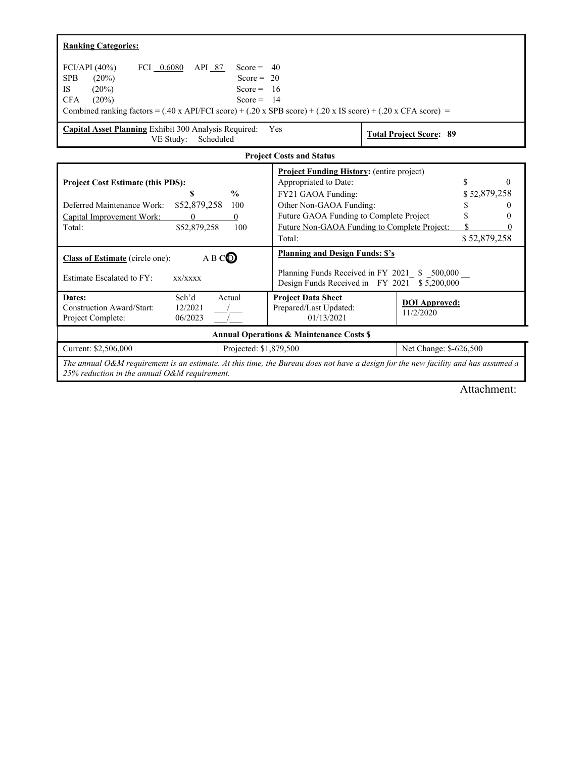| <b>Ranking Categories:</b>                                                                                                                                                                                                                                                                                                                                                                                                                                |                                                                                                                                                                                 |                                              |                                                                            |  |  |
|-----------------------------------------------------------------------------------------------------------------------------------------------------------------------------------------------------------------------------------------------------------------------------------------------------------------------------------------------------------------------------------------------------------------------------------------------------------|---------------------------------------------------------------------------------------------------------------------------------------------------------------------------------|----------------------------------------------|----------------------------------------------------------------------------|--|--|
| FCI/API $(40\%)$<br>FCI 0.6080<br>API 87<br>Score = $40$<br><b>SPB</b><br>(20%)<br>Score = $20$<br>$(20\%)$<br><b>IS</b><br>Score = $16$<br>(20%)<br>Score = $14$<br><b>CFA</b><br>Combined ranking factors = $(.40 \times API/FCI score) + (.20 \times SPB score) + (.20 \times IS score) + (.20 \times CFA score)$ =<br><b>Capital Asset Planning</b> Exhibit 300 Analysis Required:<br>Yes<br><b>Total Project Score: 89</b><br>VE Study:<br>Scheduled |                                                                                                                                                                                 |                                              |                                                                            |  |  |
|                                                                                                                                                                                                                                                                                                                                                                                                                                                           | <b>Project Costs and Status</b>                                                                                                                                                 |                                              |                                                                            |  |  |
| <b>Project Cost Estimate (this PDS):</b><br>$\frac{0}{0}$<br>S<br>Deferred Maintenance Work:<br>\$52,879,258<br>100<br>Capital Improvement Work:<br>$\theta$<br>$\mathbf{0}$<br>\$52,879,258<br>100<br>Total:                                                                                                                                                                                                                                             | <b>Project Funding History:</b> (entire project)<br>Appropriated to Date:<br>FY21 GAOA Funding:<br>Other Non-GAOA Funding:<br>Future GAOA Funding to Complete Project<br>Total: | Future Non-GAOA Funding to Complete Project: | S<br>$\Omega$<br>\$52,879,258<br>$\theta$<br>0<br>$\Omega$<br>\$52,879,258 |  |  |
| ABCO<br><b>Class of Estimate</b> (circle one):<br>Estimate Escalated to FY:<br>xx/xxxx                                                                                                                                                                                                                                                                                                                                                                    | <b>Planning and Design Funds: \$'s</b><br>Planning Funds Received in FY 2021 \$ 500,000<br>Design Funds Received in FY 2021 \$5,200,000                                         |                                              |                                                                            |  |  |
| Sch'd<br>Actual<br>Dates:<br>12/2021<br>Construction Award/Start:<br>06/2023<br>Project Complete:                                                                                                                                                                                                                                                                                                                                                         | <b>Project Data Sheet</b><br>Prepared/Last Updated:<br>01/13/2021                                                                                                               | <b>DOI</b> Approved:<br>11/2/2020            |                                                                            |  |  |
| <b>Annual Operations &amp; Maintenance Costs \$</b>                                                                                                                                                                                                                                                                                                                                                                                                       |                                                                                                                                                                                 |                                              |                                                                            |  |  |
| Current: \$2,506,000<br>Projected: \$1,879,500<br>Net Change: \$-626,500                                                                                                                                                                                                                                                                                                                                                                                  |                                                                                                                                                                                 |                                              |                                                                            |  |  |
| The annual O&M requirement is an estimate. At this time, the Bureau does not have a design for the new facility and has assumed a<br>25% reduction in the annual $O\&M$ requirement.                                                                                                                                                                                                                                                                      |                                                                                                                                                                                 |                                              |                                                                            |  |  |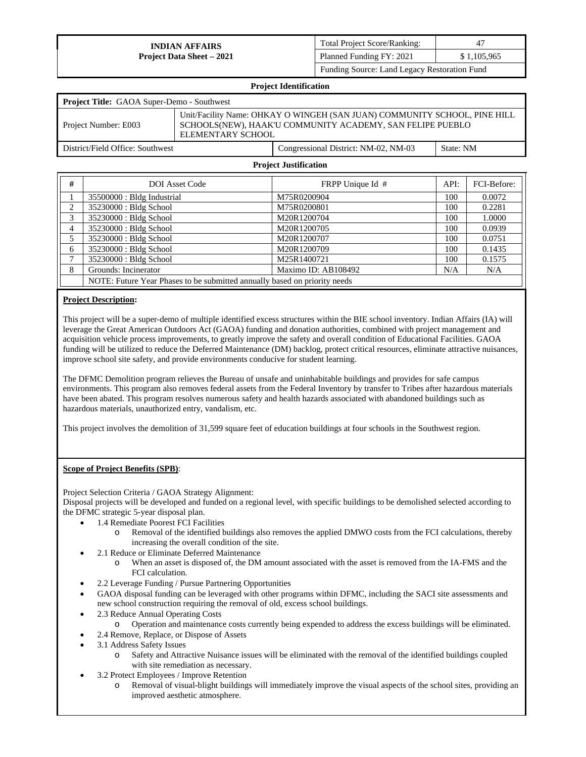| <b>Total Project Score/Ranking:</b>          | 47          |  |
|----------------------------------------------|-------------|--|
| Planned Funding FY: 2021                     | \$1,105,965 |  |
| Funding Source: Land Legacy Restoration Fund |             |  |

| <b>Project Identification</b>                                                                                                                                                       |                                                   |  |  |  |
|-------------------------------------------------------------------------------------------------------------------------------------------------------------------------------------|---------------------------------------------------|--|--|--|
|                                                                                                                                                                                     | <b>Project Title:</b> GAOA Super-Demo - Southwest |  |  |  |
| Unit/Facility Name: OHKAY O WINGEH (SAN JUAN) COMMUNITY SCHOOL, PINE HILL<br>SCHOOLS(NEW), HAAK'U COMMUNITY ACADEMY, SAN FELIPE PUEBLO<br>Project Number: E003<br>ELEMENTARY SCHOOL |                                                   |  |  |  |
| District/Field Office: Southwest<br>Congressional District: NM-02, NM-03<br>State: NM                                                                                               |                                                   |  |  |  |
| <b>Project Justification</b>                                                                                                                                                        |                                                   |  |  |  |

| #              | <b>DOI</b> Asset Code                                                     | FRPP Unique Id #    | API: | FCI-Before: |  |
|----------------|---------------------------------------------------------------------------|---------------------|------|-------------|--|
|                | 35500000 : Bldg Industrial                                                | M75R0200904         | 100  | 0.0072      |  |
| 2              | 35230000 : Bldg School                                                    | M75R0200801         | 100  | 0.2281      |  |
| 3              | 35230000 : Bldg School                                                    | M20R1200704         | 100  | 1.0000      |  |
| $\overline{4}$ | 35230000 : Bldg School                                                    | M20R1200705         | 100  | 0.0939      |  |
| 5              | 35230000 : Bldg School                                                    | M20R1200707         | 100  | 0.0751      |  |
| 6              | 35230000 : Bldg School                                                    | M20R1200709         | 100  | 0.1435      |  |
|                | 35230000 : Bldg School                                                    | M25R1400721         | 100  | 0.1575      |  |
| 8              | Grounds: Incinerator                                                      | Maximo ID: AB108492 | N/A  | N/A         |  |
|                | NOTE: Future Year Phases to be submitted annually based on priority needs |                     |      |             |  |

## **Project Description:**

This project will be a super-demo of multiple identified excess structures within the BIE school inventory. Indian Affairs (IA) will leverage the Great American Outdoors Act (GAOA) funding and donation authorities, combined with project management and acquisition vehicle process improvements, to greatly improve the safety and overall condition of Educational Facilities. GAOA funding will be utilized to reduce the Deferred Maintenance (DM) backlog, protect critical resources, eliminate attractive nuisances, improve school site safety, and provide environments conducive for student learning.

The DFMC Demolition program relieves the Bureau of unsafe and uninhabitable buildings and provides for safe campus environments. This program also removes federal assets from the Federal Inventory by transfer to Tribes after hazardous materials have been abated. This program resolves numerous safety and health hazards associated with abandoned buildings such as hazardous materials, unauthorized entry, vandalism, etc.

This project involves the demolition of 31,599 square feet of education buildings at four schools in the Southwest region.

#### **Scope of Project Benefits (SPB)**:

Project Selection Criteria / GAOA Strategy Alignment:

- 1.4 Remediate Poorest FCI Facilities
	- o Removal of the identified buildings also removes the applied DMWO costs from the FCI calculations, thereby increasing the overall condition of the site.
	- 2.1 Reduce or Eliminate Deferred Maintenance
		- o When an asset is disposed of, the DM amount associated with the asset is removed from the IA-FMS and the FCI calculation.
- 2.2 Leverage Funding / Pursue Partnering Opportunities
- GAOA disposal funding can be leveraged with other programs within DFMC, including the SACI site assessments and new school construction requiring the removal of old, excess school buildings.
- 2.3 Reduce Annual Operating Costs
	- o Operation and maintenance costs currently being expended to address the excess buildings will be eliminated.
- 2.4 Remove, Replace, or Dispose of Assets
- 3.1 Address Safety Issues
	- o Safety and Attractive Nuisance issues will be eliminated with the removal of the identified buildings coupled with site remediation as necessary.
- 3.2 Protect Employees / Improve Retention
	- o Removal of visual-blight buildings will immediately improve the visual aspects of the school sites, providing an improved aesthetic atmosphere.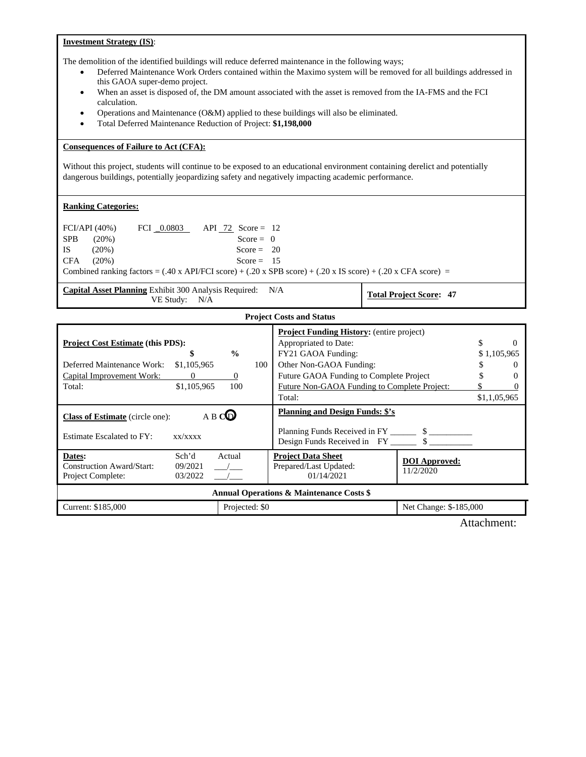# **Investment Strategy (IS)**:

The demolition of the identified buildings will reduce deferred maintenance in the following ways;

- Deferred Maintenance Work Orders contained within the Maximo system will be removed for all buildings addressed in this GAOA super-demo project.
- When an asset is disposed of, the DM amount associated with the asset is removed from the IA-FMS and the FCI calculation.
- Operations and Maintenance (O&M) applied to these buildings will also be eliminated.
- Total Deferred Maintenance Reduction of Project: **\$1,198,000**

## **Consequences of Failure to Act (CFA):**

Without this project, students will continue to be exposed to an educational environment containing derelict and potentially dangerous buildings, potentially jeopardizing safety and negatively impacting academic performance.

## **Ranking Categories:**

| FCI/API (40%) |          |  | FCI $0.0803$ API 72 Score = 12 |                                                                                                                                                                     |
|---------------|----------|--|--------------------------------|---------------------------------------------------------------------------------------------------------------------------------------------------------------------|
| <b>SPB</b>    | $(20\%)$ |  | Score = $\theta$               |                                                                                                                                                                     |
| IS            | $(20\%)$ |  | Score = $20$                   |                                                                                                                                                                     |
| CFA           | $(20\%)$ |  | Score = $15$                   |                                                                                                                                                                     |
|               |          |  |                                | Combined ranking factors = $(.40 \times API/FCI \text{ score}) + (.20 \times SPB \text{ score}) + (.20 \times IS \text{ score}) + (.20 \times CFA \text{ score}) =$ |

**Capital Asset Planning** Exhibit 300 Analysis Required: N/A Exhibit 500 Analysis Required:  $N/A$  **Total Project Score: 47**<br>VE Study:  $N/A$ 

### **Project Costs and Status**

| <b>Project Cost Estimate (this PDS):</b><br>$\frac{0}{0}$<br>S<br>Deferred Maintenance Work:<br>\$1,105,965<br>100<br>Capital Improvement Work:<br>$\Omega$<br>$\theta$<br>\$1,105,965<br>100<br>Total: |        |  | <b>Project Funding History:</b> (entire project)<br>Appropriated to Date:<br>FY21 GAOA Funding:<br>Other Non-GAOA Funding:<br>Future GAOA Funding to Complete Project<br>Future Non-GAOA Funding to Complete Project:<br>Total: |                                   |  | $\Omega$<br>\$1,105,965<br>$\theta$<br>0<br>\$1,1,05,965 |
|---------------------------------------------------------------------------------------------------------------------------------------------------------------------------------------------------------|--------|--|---------------------------------------------------------------------------------------------------------------------------------------------------------------------------------------------------------------------------------|-----------------------------------|--|----------------------------------------------------------|
| A B CO<br><b>Class of Estimate</b> (circle one):<br>Estimate Escalated to FY:<br>x x / x x x x                                                                                                          |        |  | <b>Planning and Design Funds: \$'s</b><br>Planning Funds Received in FY 5                                                                                                                                                       |                                   |  |                                                          |
| Dates:<br>Sch'd<br>Construction Award/Start:<br>09/2021<br>03/2022<br>Project Complete:                                                                                                                 | Actual |  | <b>Project Data Sheet</b><br>Prepared/Last Updated:<br>01/14/2021                                                                                                                                                               | <b>DOI</b> Approved:<br>11/2/2020 |  |                                                          |
| <b>Annual Operations &amp; Maintenance Costs \$</b>                                                                                                                                                     |        |  |                                                                                                                                                                                                                                 |                                   |  |                                                          |
| Current: \$185,000<br>Projected: \$0                                                                                                                                                                    |        |  |                                                                                                                                                                                                                                 | Net Change: \$-185,000            |  |                                                          |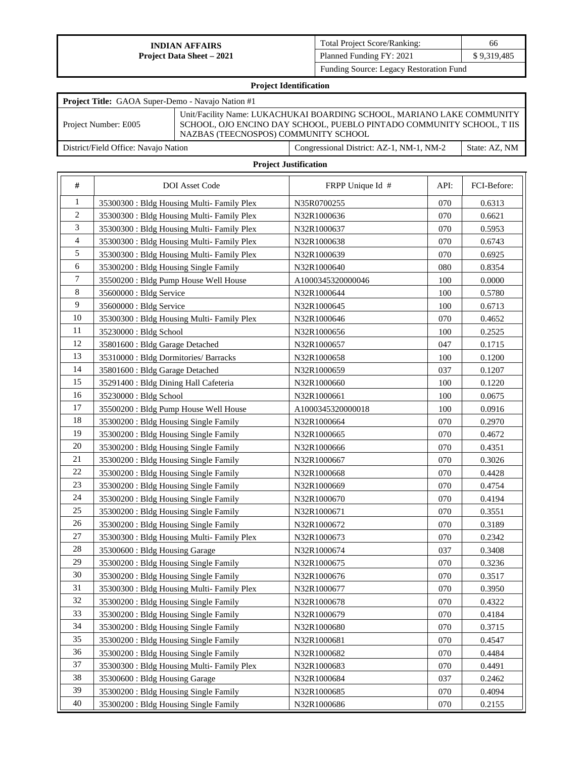| <b>Total Project Score/Ranking:</b>     | 66          |
|-----------------------------------------|-------------|
| Planned Funding FY: 2021                | \$9,319,485 |
| Funding Source: Legacy Restoration Fund |             |

# **Project Identification**

| Project Title: GAOA Super-Demo - Navajo Nation #1 |                                      |                                                                                                                                                |               |  |  |  |
|---------------------------------------------------|--------------------------------------|------------------------------------------------------------------------------------------------------------------------------------------------|---------------|--|--|--|
| Project Number: E005                              | NAZBAS (TEECNOSPOS) COMMUNITY SCHOOL | Unit/Facility Name: LUKACHUKAI BOARDING SCHOOL, MARIANO LAKE COMMUNITY<br>SCHOOL, OJO ENCINO DAY SCHOOL, PUEBLO PINTADO COMMUNITY SCHOOL, TIIS |               |  |  |  |
| District/Field Office: Navajo Nation              |                                      | Congressional District: AZ-1, NM-1, NM-2                                                                                                       | State: AZ, NM |  |  |  |

| $\#$           | <b>DOI</b> Asset Code                      | FRPP Unique Id #  | API: | FCI-Before: |
|----------------|--------------------------------------------|-------------------|------|-------------|
| 1              | 35300300 : Bldg Housing Multi-Family Plex  | N35R0700255       | 070  | 0.6313      |
| $\overline{c}$ | 35300300 : Bldg Housing Multi-Family Plex  | N32R1000636       | 070  | 0.6621      |
| 3              | 35300300 : Bldg Housing Multi-Family Plex  | N32R1000637       | 070  | 0.5953      |
| $\overline{4}$ | 35300300 : Bldg Housing Multi-Family Plex  | N32R1000638       | 070  | 0.6743      |
| 5              | 35300300 : Bldg Housing Multi- Family Plex | N32R1000639       | 070  | 0.6925      |
| $6\,$          | 35300200: Bldg Housing Single Family       | N32R1000640       | 080  | 0.8354      |
| 7              | 35500200 : Bldg Pump House Well House      | A1000345320000046 | 100  | 0.0000      |
| $\,8\,$        | 35600000 : Bldg Service                    | N32R1000644       | 100  | 0.5780      |
| 9              | 35600000 : Bldg Service                    | N32R1000645       | 100  | 0.6713      |
| 10             | 35300300 : Bldg Housing Multi- Family Plex | N32R1000646       | 070  | 0.4652      |
| 11             | 35230000 : Bldg School                     | N32R1000656       | 100  | 0.2525      |
| 12             | 35801600 : Bldg Garage Detached            | N32R1000657       | 047  | 0.1715      |
| 13             | 35310000: Bldg Dormitories/ Barracks       | N32R1000658       | 100  | 0.1200      |
| 14             | 35801600 : Bldg Garage Detached            | N32R1000659       | 037  | 0.1207      |
| 15             | 35291400 : Bldg Dining Hall Cafeteria      | N32R1000660       | 100  | 0.1220      |
| 16             | 35230000 : Bldg School                     | N32R1000661       | 100  | 0.0675      |
| 17             | 35500200: Bldg Pump House Well House       | A1000345320000018 | 100  | 0.0916      |
| 18             | 35300200: Bldg Housing Single Family       | N32R1000664       | 070  | 0.2970      |
| 19             | 35300200 : Bldg Housing Single Family      | N32R1000665       | 070  | 0.4672      |
| 20             | 35300200 : Bldg Housing Single Family      | N32R1000666       | 070  | 0.4351      |
| 21             | 35300200 : Bldg Housing Single Family      | N32R1000667       | 070  | 0.3026      |
| 22             | 35300200 : Bldg Housing Single Family      | N32R1000668       | 070  | 0.4428      |
| 23             | 35300200: Bldg Housing Single Family       | N32R1000669       | 070  | 0.4754      |
| 24             | 35300200: Bldg Housing Single Family       | N32R1000670       | 070  | 0.4194      |
| 25             | 35300200: Bldg Housing Single Family       | N32R1000671       | 070  | 0.3551      |
| 26             | 35300200 : Bldg Housing Single Family      | N32R1000672       | 070  | 0.3189      |
| 27             | 35300300 : Bldg Housing Multi- Family Plex | N32R1000673       | 070  | 0.2342      |
| 28             | 35300600: Bldg Housing Garage              | N32R1000674       | 037  | 0.3408      |
| 29             | 35300200 : Bldg Housing Single Family      | N32R1000675       | 070  | 0.3236      |
| 30             | 35300200 : Bldg Housing Single Family      | N32R1000676       | 070  | 0.3517      |
| 31             | 35300300 : Bldg Housing Multi- Family Plex | N32R1000677       | 070  | 0.3950      |
| 32             | 35300200 : Bldg Housing Single Family      | N32R1000678       | 070  | 0.4322      |
| 33             | 35300200 : Bldg Housing Single Family      | N32R1000679       | 070  | 0.4184      |
| 34             | 35300200: Bldg Housing Single Family       | N32R1000680       | 070  | 0.3715      |
| 35             | 35300200 : Bldg Housing Single Family      | N32R1000681       | 070  | 0.4547      |
| 36             | 35300200 : Bldg Housing Single Family      | N32R1000682       | 070  | 0.4484      |
| 37             | 35300300 : Bldg Housing Multi- Family Plex | N32R1000683       | 070  | 0.4491      |
| 38             | 35300600: Bldg Housing Garage              | N32R1000684       | 037  | 0.2462      |
| 39             | 35300200 : Bldg Housing Single Family      | N32R1000685       | 070  | 0.4094      |
| 40             | 35300200 : Bldg Housing Single Family      | N32R1000686       | 070  | 0.2155      |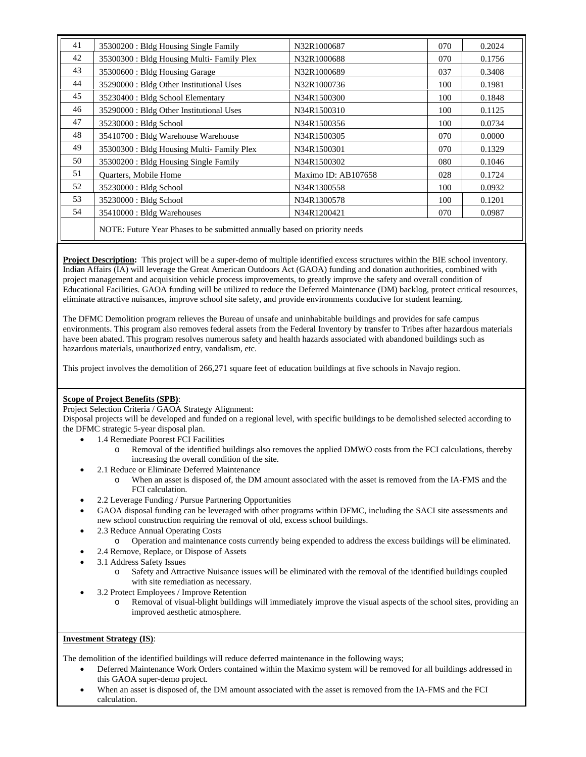| 41 | 35300200 : Bldg Housing Single Family                                     | N32R1000687         | 070 | 0.2024 |
|----|---------------------------------------------------------------------------|---------------------|-----|--------|
| 42 | 35300300 : Bldg Housing Multi- Family Plex                                | N32R1000688         | 070 | 0.1756 |
| 43 | 35300600 : Bldg Housing Garage                                            | N32R1000689         | 037 | 0.3408 |
| 44 | 35290000 : Bldg Other Institutional Uses                                  | N32R1000736         | 100 | 0.1981 |
| 45 | 35230400 : Bldg School Elementary                                         | N34R1500300         | 100 | 0.1848 |
| 46 | 35290000 : Bldg Other Institutional Uses                                  | N34R1500310         | 100 | 0.1125 |
| 47 | 35230000 : Bldg School                                                    | N34R1500356         | 100 | 0.0734 |
| 48 | 35410700 : Bldg Warehouse Warehouse                                       | N34R1500305         | 070 | 0.0000 |
| 49 | 35300300 : Bldg Housing Multi-Family Plex                                 | N34R1500301         | 070 | 0.1329 |
| 50 | 35300200 : Bldg Housing Single Family                                     | N34R1500302         | 080 | 0.1046 |
| 51 | Quarters, Mobile Home                                                     | Maximo ID: AB107658 | 028 | 0.1724 |
| 52 | 35230000 : Bldg School                                                    | N34R1300558         | 100 | 0.0932 |
| 53 | 35230000 : Bldg School                                                    | N34R1300578         | 100 | 0.1201 |
| 54 | 35410000 : Bldg Warehouses                                                | N34R1200421         | 070 | 0.0987 |
|    | NOTE: Future Year Phases to be submitted annually based on priority needs |                     |     |        |

**Project Description:** This project will be a super-demo of multiple identified excess structures within the BIE school inventory. Indian Affairs (IA) will leverage the Great American Outdoors Act (GAOA) funding and donation authorities, combined with project management and acquisition vehicle process improvements, to greatly improve the safety and overall condition of Educational Facilities. GAOA funding will be utilized to reduce the Deferred Maintenance (DM) backlog, protect critical resources, eliminate attractive nuisances, improve school site safety, and provide environments conducive for student learning.

The DFMC Demolition program relieves the Bureau of unsafe and uninhabitable buildings and provides for safe campus environments. This program also removes federal assets from the Federal Inventory by transfer to Tribes after hazardous materials have been abated. This program resolves numerous safety and health hazards associated with abandoned buildings such as hazardous materials, unauthorized entry, vandalism, etc.

This project involves the demolition of 266,271 square feet of education buildings at five schools in Navajo region.

## **Scope of Project Benefits (SPB)**:

Project Selection Criteria / GAOA Strategy Alignment:

Disposal projects will be developed and funded on a regional level, with specific buildings to be demolished selected according to the DFMC strategic 5-year disposal plan.

- 1.4 Remediate Poorest FCI Facilities
	- o Removal of the identified buildings also removes the applied DMWO costs from the FCI calculations, thereby increasing the overall condition of the site.
	- 2.1 Reduce or Eliminate Deferred Maintenance
		- o When an asset is disposed of, the DM amount associated with the asset is removed from the IA-FMS and the FCI calculation.
	- 2.2 Leverage Funding / Pursue Partnering Opportunities
- GAOA disposal funding can be leveraged with other programs within DFMC, including the SACI site assessments and new school construction requiring the removal of old, excess school buildings.
- 2.3 Reduce Annual Operating Costs
	- o Operation and maintenance costs currently being expended to address the excess buildings will be eliminated.
- 2.4 Remove, Replace, or Dispose of Assets
- 3.1 Address Safety Issues
	- o Safety and Attractive Nuisance issues will be eliminated with the removal of the identified buildings coupled with site remediation as necessary.
- 3.2 Protect Employees / Improve Retention
	- o Removal of visual-blight buildings will immediately improve the visual aspects of the school sites, providing an improved aesthetic atmosphere.

#### **Investment Strategy (IS)**:

The demolition of the identified buildings will reduce deferred maintenance in the following ways;

- Deferred Maintenance Work Orders contained within the Maximo system will be removed for all buildings addressed in this GAOA super-demo project.
- When an asset is disposed of, the DM amount associated with the asset is removed from the IA-FMS and the FCI calculation.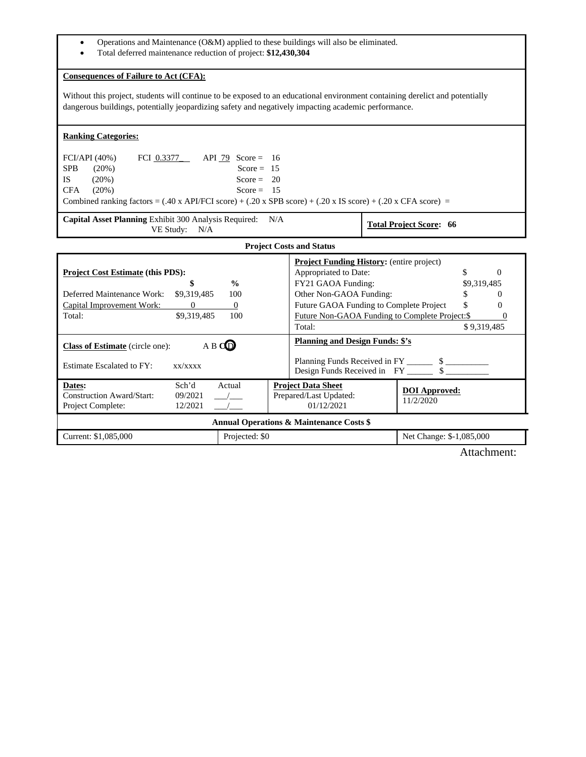- Operations and Maintenance (O&M) applied to these buildings will also be eliminated.
- Total deferred maintenance reduction of project: **\$12,430,304**

## **Consequences of Failure to Act (CFA):**

Without this project, students will continue to be exposed to an educational environment containing derelict and potentially dangerous buildings, potentially jeopardizing safety and negatively impacting academic performance.

| <b>Ranking Categories:</b>                                                                                                                                                                                           |                                                                                                                                                                                 |                                                                                                                                         |  |  |  |  |
|----------------------------------------------------------------------------------------------------------------------------------------------------------------------------------------------------------------------|---------------------------------------------------------------------------------------------------------------------------------------------------------------------------------|-----------------------------------------------------------------------------------------------------------------------------------------|--|--|--|--|
| FCI/API (40%)<br>FCI $0.3377$ API 79 Score = 16<br><b>SPB</b><br>$(20\%)$<br>Score = $15$<br><b>IS</b><br>$(20\%)$<br>Score = $20$<br><b>CFA</b><br>(20%)<br>Score = $15$                                            |                                                                                                                                                                                 |                                                                                                                                         |  |  |  |  |
| Combined ranking factors = $(.40 \times APIFCI score) + (.20 \times SPB score) + (.20 \times IS score) + (.20 \times CFA score) =$                                                                                   |                                                                                                                                                                                 |                                                                                                                                         |  |  |  |  |
| Capital Asset Planning Exhibit 300 Analysis Required: N/A<br><b>Total Project Score: 66</b><br>VE Study: N/A                                                                                                         |                                                                                                                                                                                 |                                                                                                                                         |  |  |  |  |
|                                                                                                                                                                                                                      | <b>Project Costs and Status</b>                                                                                                                                                 |                                                                                                                                         |  |  |  |  |
| <b>Project Cost Estimate (this PDS):</b><br>\$<br>$\frac{0}{0}$<br>Deferred Maintenance Work:<br>\$9,319,485<br>100<br>Capital Improvement Work:<br>$\overline{0}$<br>$\overline{0}$<br>\$9,319,485<br>100<br>Total: | <b>Project Funding History:</b> (entire project)<br>Appropriated to Date:<br>FY21 GAOA Funding:<br>Other Non-GAOA Funding:<br>Future GAOA Funding to Complete Project<br>Total: | \$<br>$\Omega$<br>\$9,319,485<br>\$<br>$\Omega$<br>\$<br>0<br>Future Non-GAOA Funding to Complete Project:\$<br>$\Omega$<br>\$9,319,485 |  |  |  |  |
| <b>Planning and Design Funds: \$'s</b><br>A B CO<br><b>Class of Estimate</b> (circle one):<br>Estimate Escalated to FY:<br>xx/xxxx                                                                                   |                                                                                                                                                                                 |                                                                                                                                         |  |  |  |  |
| Actual<br>Sch'd<br>Dates:<br>Construction Award/Start:<br>09/2021<br>12/2021<br>Project Complete:                                                                                                                    | <b>Project Data Sheet</b><br>Prepared/Last Updated:<br>01/12/2021                                                                                                               | <b>DOI</b> Approved:<br>11/2/2020                                                                                                       |  |  |  |  |
| <b>Annual Operations &amp; Maintenance Costs \$</b>                                                                                                                                                                  |                                                                                                                                                                                 |                                                                                                                                         |  |  |  |  |
| Current: \$1,085,000<br>Projected: \$0                                                                                                                                                                               |                                                                                                                                                                                 | Net Change: \$-1,085,000                                                                                                                |  |  |  |  |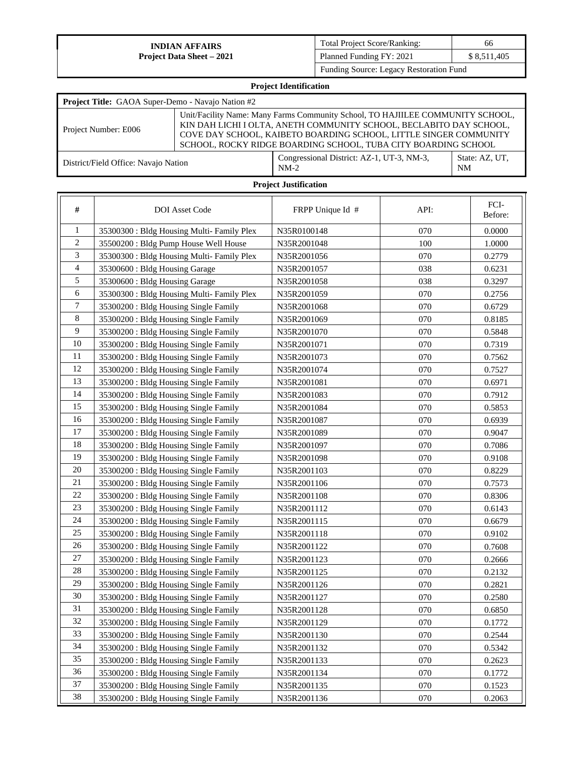| <b>Total Project Score/Ranking:</b>     | 66          |
|-----------------------------------------|-------------|
| Planned Funding FY: 2021                | \$8,511,405 |
| Funding Source: Legacy Restoration Fund |             |

| <b>Project Identification</b>                                                                                                                                                                                                                                                                                        |  |                                                     |                             |  |  |  |
|----------------------------------------------------------------------------------------------------------------------------------------------------------------------------------------------------------------------------------------------------------------------------------------------------------------------|--|-----------------------------------------------------|-----------------------------|--|--|--|
| Project Title: GAOA Super-Demo - Navajo Nation #2                                                                                                                                                                                                                                                                    |  |                                                     |                             |  |  |  |
| Unit/Facility Name: Many Farms Community School, TO HAJIILEE COMMUNITY SCHOOL,<br>KIN DAH LICHI I OLTA, ANETH COMMUNITY SCHOOL, BECLABITO DAY SCHOOL,<br>Project Number: E006<br>COVE DAY SCHOOL, KAIBETO BOARDING SCHOOL, LITTLE SINGER COMMUNITY<br>SCHOOL, ROCKY RIDGE BOARDING SCHOOL, TUBA CITY BOARDING SCHOOL |  |                                                     |                             |  |  |  |
| District/Field Office: Navajo Nation                                                                                                                                                                                                                                                                                 |  | Congressional District: AZ-1, UT-3, NM-3,<br>$NM-2$ | State: AZ, UT,<br><b>NM</b> |  |  |  |

| #              | <b>DOI</b> Asset Code                      | FRPP Unique Id # | API: | FCI-<br>Before: |
|----------------|--------------------------------------------|------------------|------|-----------------|
| 1              | 35300300 : Bldg Housing Multi-Family Plex  | N35R0100148      | 070  | 0.0000          |
| $\overline{c}$ | 35500200: Bldg Pump House Well House       | N35R2001048      | 100  | 1.0000          |
| 3              | 35300300 : Bldg Housing Multi- Family Plex | N35R2001056      | 070  | 0.2779          |
| 4              | 35300600 : Bldg Housing Garage             | N35R2001057      | 038  | 0.6231          |
| 5              | 35300600 : Bldg Housing Garage             | N35R2001058      | 038  | 0.3297          |
| 6              | 35300300 : Bldg Housing Multi- Family Plex | N35R2001059      | 070  | 0.2756          |
| 7              | 35300200 : Bldg Housing Single Family      | N35R2001068      | 070  | 0.6729          |
| 8              | 35300200: Bldg Housing Single Family       | N35R2001069      | 070  | 0.8185          |
| 9              | 35300200 : Bldg Housing Single Family      | N35R2001070      | 070  | 0.5848          |
| 10             | 35300200 : Bldg Housing Single Family      | N35R2001071      | 070  | 0.7319          |
| 11             | 35300200 : Bldg Housing Single Family      | N35R2001073      | 070  | 0.7562          |
| 12             | 35300200 : Bldg Housing Single Family      | N35R2001074      | 070  | 0.7527          |
| 13             | 35300200 : Bldg Housing Single Family      | N35R2001081      | 070  | 0.6971          |
| 14             | 35300200 : Bldg Housing Single Family      | N35R2001083      | 070  | 0.7912          |
| 15             | 35300200 : Bldg Housing Single Family      | N35R2001084      | 070  | 0.5853          |
| 16             | 35300200 : Bldg Housing Single Family      | N35R2001087      | 070  | 0.6939          |
| 17             | 35300200 : Bldg Housing Single Family      | N35R2001089      | 070  | 0.9047          |
| 18             | 35300200 : Bldg Housing Single Family      | N35R2001097      | 070  | 0.7086          |
| 19             | 35300200: Bldg Housing Single Family       | N35R2001098      | 070  | 0.9108          |
| 20             | 35300200 : Bldg Housing Single Family      | N35R2001103      | 070  | 0.8229          |
| 21             | 35300200 : Bldg Housing Single Family      | N35R2001106      | 070  | 0.7573          |
| 22             | 35300200 : Bldg Housing Single Family      | N35R2001108      | 070  | 0.8306          |
| 23             | 35300200 : Bldg Housing Single Family      | N35R2001112      | 070  | 0.6143          |
| 24             | 35300200 : Bldg Housing Single Family      | N35R2001115      | 070  | 0.6679          |
| 25             | 35300200 : Bldg Housing Single Family      | N35R2001118      | 070  | 0.9102          |
| 26             | 35300200 : Bldg Housing Single Family      | N35R2001122      | 070  | 0.7608          |
| 27             | 35300200 : Bldg Housing Single Family      | N35R2001123      | 070  | 0.2666          |
| $28\,$         | 35300200: Bldg Housing Single Family       | N35R2001125      | 070  | 0.2132          |
| 29             | 35300200 : Bldg Housing Single Family      | N35R2001126      | 070  | 0.2821          |
| 30             | 35300200 : Bldg Housing Single Family      | N35R2001127      | 070  | 0.2580          |
| 31             | 35300200 : Bldg Housing Single Family      | N35R2001128      | 070  | 0.6850          |
| 32             | 35300200: Bldg Housing Single Family       | N35R2001129      | 070  | 0.1772          |
| 33             | 35300200: Bldg Housing Single Family       | N35R2001130      | 070  | 0.2544          |
| 34             | 35300200: Bldg Housing Single Family       | N35R2001132      | 070  | 0.5342          |
| 35             | 35300200: Bldg Housing Single Family       | N35R2001133      | 070  | 0.2623          |
| 36             | 35300200: Bldg Housing Single Family       | N35R2001134      | 070  | 0.1772          |
| 37             | 35300200: Bldg Housing Single Family       | N35R2001135      | 070  | 0.1523          |
| 38             | 35300200: Bldg Housing Single Family       | N35R2001136      | 070  | 0.2063          |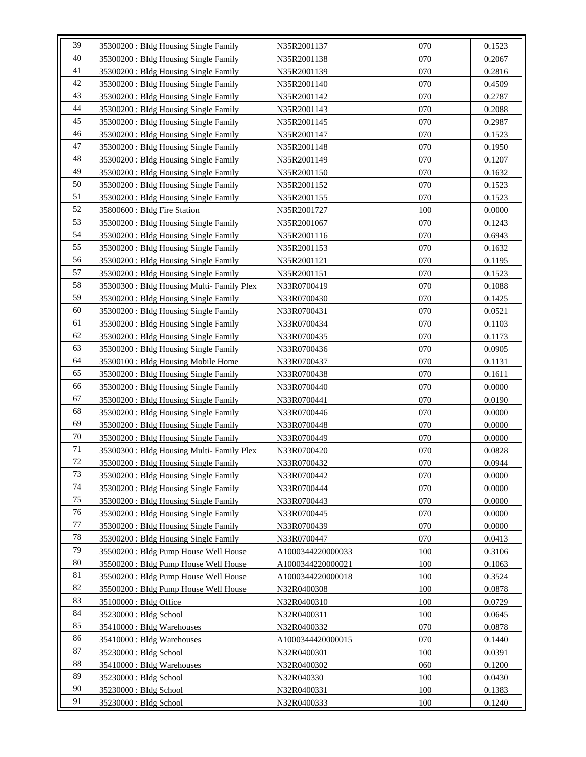| 39 | 35300200 : Bldg Housing Single Family      | N35R2001137       | 070 | 0.1523 |
|----|--------------------------------------------|-------------------|-----|--------|
| 40 | 35300200 : Bldg Housing Single Family      | N35R2001138       | 070 | 0.2067 |
| 41 | 35300200 : Bldg Housing Single Family      | N35R2001139       | 070 | 0.2816 |
| 42 | 35300200 : Bldg Housing Single Family      | N35R2001140       | 070 | 0.4509 |
| 43 | 35300200 : Bldg Housing Single Family      |                   | 070 |        |
| 44 |                                            | N35R2001142       |     | 0.2787 |
| 45 | 35300200 : Bldg Housing Single Family      | N35R2001143       | 070 | 0.2088 |
| 46 | 35300200 : Bldg Housing Single Family      | N35R2001145       | 070 | 0.2987 |
|    | 35300200 : Bldg Housing Single Family      | N35R2001147       | 070 | 0.1523 |
| 47 | 35300200 : Bldg Housing Single Family      | N35R2001148       | 070 | 0.1950 |
| 48 | 35300200 : Bldg Housing Single Family      | N35R2001149       | 070 | 0.1207 |
| 49 | 35300200 : Bldg Housing Single Family      | N35R2001150       | 070 | 0.1632 |
| 50 | 35300200 : Bldg Housing Single Family      | N35R2001152       | 070 | 0.1523 |
| 51 | 35300200 : Bldg Housing Single Family      | N35R2001155       | 070 | 0.1523 |
| 52 | 35800600 : Bldg Fire Station               | N35R2001727       | 100 | 0.0000 |
| 53 | 35300200 : Bldg Housing Single Family      | N35R2001067       | 070 | 0.1243 |
| 54 | 35300200 : Bldg Housing Single Family      | N35R2001116       | 070 | 0.6943 |
| 55 | 35300200 : Bldg Housing Single Family      | N35R2001153       | 070 | 0.1632 |
| 56 | 35300200 : Bldg Housing Single Family      | N35R2001121       | 070 | 0.1195 |
| 57 | 35300200 : Bldg Housing Single Family      | N35R2001151       | 070 | 0.1523 |
| 58 | 35300300 : Bldg Housing Multi-Family Plex  | N33R0700419       | 070 | 0.1088 |
| 59 | 35300200 : Bldg Housing Single Family      | N33R0700430       | 070 | 0.1425 |
| 60 | 35300200 : Bldg Housing Single Family      | N33R0700431       | 070 | 0.0521 |
| 61 | 35300200 : Bldg Housing Single Family      | N33R0700434       | 070 | 0.1103 |
| 62 | 35300200 : Bldg Housing Single Family      | N33R0700435       | 070 | 0.1173 |
| 63 | 35300200 : Bldg Housing Single Family      | N33R0700436       | 070 | 0.0905 |
| 64 | 35300100 : Bldg Housing Mobile Home        | N33R0700437       | 070 | 0.1131 |
| 65 | 35300200 : Bldg Housing Single Family      | N33R0700438       | 070 | 0.1611 |
| 66 | 35300200 : Bldg Housing Single Family      | N33R0700440       | 070 | 0.0000 |
| 67 | 35300200 : Bldg Housing Single Family      | N33R0700441       | 070 | 0.0190 |
| 68 | 35300200 : Bldg Housing Single Family      | N33R0700446       | 070 | 0.0000 |
| 69 | 35300200 : Bldg Housing Single Family      | N33R0700448       | 070 | 0.0000 |
| 70 | 35300200 : Bldg Housing Single Family      | N33R0700449       | 070 | 0.0000 |
| 71 | 35300300 : Bldg Housing Multi- Family Plex | N33R0700420       | 070 | 0.0828 |
| 72 | 35300200 : Bldg Housing Single Family      | N33R0700432       | 070 | 0.0944 |
| 73 | 35300200 : Bldg Housing Single Family      | N33R0700442       | 070 | 0.0000 |
| 74 | 35300200 : Bldg Housing Single Family      |                   | 070 | 0.0000 |
| 75 |                                            | N33R0700444       |     |        |
| 76 | 35300200 : Bldg Housing Single Family      | N33R0700443       | 070 | 0.0000 |
| 77 | 35300200 : Bldg Housing Single Family      | N33R0700445       | 070 | 0.0000 |
| 78 | 35300200 : Bldg Housing Single Family      | N33R0700439       | 070 | 0.0000 |
|    | 35300200 : Bldg Housing Single Family      | N33R0700447       | 070 | 0.0413 |
| 79 | 35500200 : Bldg Pump House Well House      | A1000344220000033 | 100 | 0.3106 |
| 80 | 35500200 : Bldg Pump House Well House      | A1000344220000021 | 100 | 0.1063 |
| 81 | 35500200 : Bldg Pump House Well House      | A1000344220000018 | 100 | 0.3524 |
| 82 | 35500200 : Bldg Pump House Well House      | N32R0400308       | 100 | 0.0878 |
| 83 | 35100000 : Bldg Office                     | N32R0400310       | 100 | 0.0729 |
| 84 | 35230000 : Bldg School                     | N32R0400311       | 100 | 0.0645 |
| 85 | 35410000: Bldg Warehouses                  | N32R0400332       | 070 | 0.0878 |
| 86 | 35410000 : Bldg Warehouses                 | A1000344420000015 | 070 | 0.1440 |
| 87 | 35230000 : Bldg School                     | N32R0400301       | 100 | 0.0391 |
| 88 | 35410000 : Bldg Warehouses                 | N32R0400302       | 060 | 0.1200 |
| 89 | 35230000 : Bldg School                     | N32R040330        | 100 | 0.0430 |
| 90 | 35230000: Bldg School                      | N32R0400331       | 100 | 0.1383 |
| 91 | 35230000 : Bldg School                     | N32R0400333       | 100 | 0.1240 |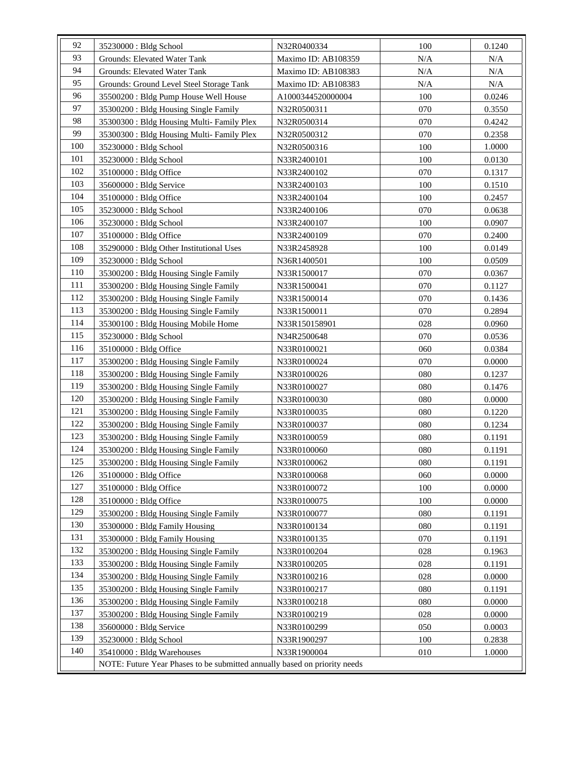| 92  | 35230000 : Bldg School                                                    | N32R0400334         | 100 | 0.1240 |  |
|-----|---------------------------------------------------------------------------|---------------------|-----|--------|--|
| 93  | Grounds: Elevated Water Tank                                              | Maximo ID: AB108359 | N/A | N/A    |  |
| 94  | Grounds: Elevated Water Tank                                              | Maximo ID: AB108383 | N/A | N/A    |  |
| 95  | Grounds: Ground Level Steel Storage Tank                                  | Maximo ID: AB108383 | N/A | N/A    |  |
| 96  | 35500200: Bldg Pump House Well House                                      | A1000344520000004   | 100 | 0.0246 |  |
| 97  | 35300200 : Bldg Housing Single Family                                     | N32R0500311         | 070 | 0.3550 |  |
| 98  | 35300300 : Bldg Housing Multi-Family Plex                                 | N32R0500314         | 070 | 0.4242 |  |
| 99  | 35300300 : Bldg Housing Multi-Family Plex                                 | N32R0500312         | 070 | 0.2358 |  |
| 100 | 35230000 : Bldg School                                                    | N32R0500316         | 100 | 1.0000 |  |
| 101 | 35230000 : Bldg School                                                    | N33R2400101         | 100 | 0.0130 |  |
| 102 | 35100000: Bldg Office                                                     | N33R2400102         | 070 | 0.1317 |  |
| 103 | 35600000 : Bldg Service                                                   | N33R2400103         | 100 | 0.1510 |  |
| 104 | 35100000 : Bldg Office                                                    | N33R2400104         | 100 | 0.2457 |  |
| 105 | 35230000: Bldg School                                                     | N33R2400106         | 070 | 0.0638 |  |
| 106 | 35230000 : Bldg School                                                    | N33R2400107         | 100 | 0.0907 |  |
| 107 | 35100000 : Bldg Office                                                    | N33R2400109         | 070 | 0.2400 |  |
| 108 | 35290000: Bldg Other Institutional Uses                                   | N33R2458928         | 100 | 0.0149 |  |
| 109 | 35230000 : Bldg School                                                    | N36R1400501         | 100 | 0.0509 |  |
| 110 | 35300200 : Bldg Housing Single Family                                     | N33R1500017         | 070 | 0.0367 |  |
| 111 | 35300200 : Bldg Housing Single Family                                     | N33R1500041         | 070 | 0.1127 |  |
| 112 | 35300200 : Bldg Housing Single Family                                     | N33R1500014         | 070 | 0.1436 |  |
| 113 | 35300200 : Bldg Housing Single Family                                     | N33R1500011         | 070 | 0.2894 |  |
| 114 | 35300100 : Bldg Housing Mobile Home                                       | N33R150158901       | 028 | 0.0960 |  |
| 115 | 35230000 : Bldg School                                                    | N34R2500648         | 070 | 0.0536 |  |
| 116 | 35100000: Bldg Office                                                     | N33R0100021         | 060 | 0.0384 |  |
| 117 | 35300200 : Bldg Housing Single Family                                     | N33R0100024         | 070 | 0.0000 |  |
| 118 | 35300200: Bldg Housing Single Family                                      | N33R0100026         | 080 | 0.1237 |  |
| 119 | 35300200 : Bldg Housing Single Family                                     | N33R0100027         | 080 | 0.1476 |  |
| 120 | 35300200 : Bldg Housing Single Family                                     | N33R0100030         | 080 | 0.0000 |  |
| 121 | 35300200 : Bldg Housing Single Family                                     | N33R0100035         | 080 | 0.1220 |  |
| 122 | 35300200: Bldg Housing Single Family                                      | N33R0100037         | 080 | 0.1234 |  |
| 123 | 35300200 : Bldg Housing Single Family                                     | N33R0100059         | 080 | 0.1191 |  |
| 124 | 35300200 : Bldg Housing Single Family                                     | N33R0100060         | 080 | 0.1191 |  |
| 125 | 35300200 : Bldg Housing Single Family                                     | N33R0100062         | 080 | 0.1191 |  |
| 126 | 35100000 : Bldg Office                                                    | N33R0100068         | 060 | 0.0000 |  |
| 127 | 35100000: Bldg Office                                                     | N33R0100072         | 100 | 0.0000 |  |
| 128 | 35100000 : Bldg Office                                                    | N33R0100075         | 100 | 0.0000 |  |
| 129 | 35300200 : Bldg Housing Single Family                                     | N33R0100077         | 080 | 0.1191 |  |
| 130 | 35300000 : Bldg Family Housing                                            | N33R0100134         | 080 | 0.1191 |  |
| 131 | 35300000 : Bldg Family Housing                                            | N33R0100135         | 070 | 0.1191 |  |
| 132 | 35300200: Bldg Housing Single Family                                      | N33R0100204         | 028 | 0.1963 |  |
| 133 | 35300200: Bldg Housing Single Family                                      | N33R0100205         | 028 | 0.1191 |  |
| 134 | 35300200: Bldg Housing Single Family                                      | N33R0100216         | 028 | 0.0000 |  |
| 135 | 35300200 : Bldg Housing Single Family                                     | N33R0100217         | 080 | 0.1191 |  |
| 136 | 35300200 : Bldg Housing Single Family                                     | N33R0100218         | 080 | 0.0000 |  |
| 137 | 35300200: Bldg Housing Single Family                                      | N33R0100219         | 028 | 0.0000 |  |
| 138 | 35600000 : Bldg Service                                                   | N33R0100299         | 050 | 0.0003 |  |
| 139 | 35230000 : Bldg School                                                    | N33R1900297         | 100 | 0.2838 |  |
| 140 | 35410000 : Bldg Warehouses                                                | N33R1900004         | 010 | 1.0000 |  |
|     | NOTE: Future Year Phases to be submitted annually based on priority needs |                     |     |        |  |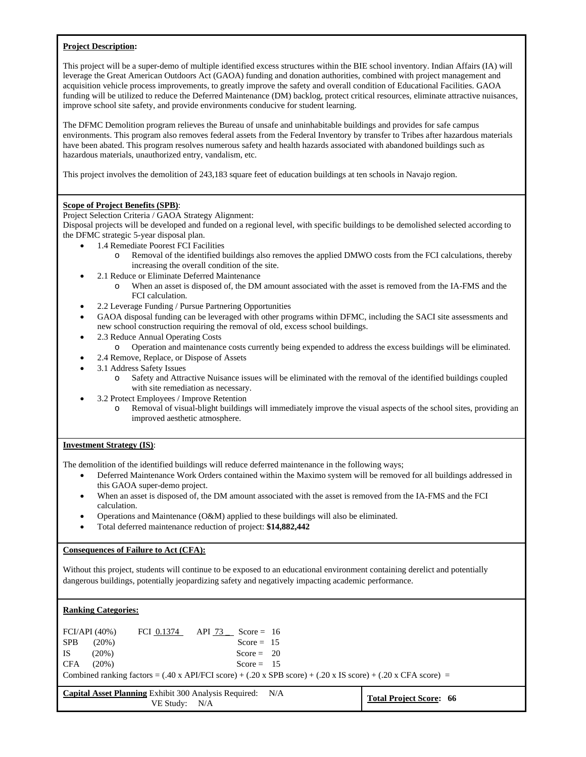#### **Project Description:**

This project will be a super-demo of multiple identified excess structures within the BIE school inventory. Indian Affairs (IA) will leverage the Great American Outdoors Act (GAOA) funding and donation authorities, combined with project management and acquisition vehicle process improvements, to greatly improve the safety and overall condition of Educational Facilities. GAOA funding will be utilized to reduce the Deferred Maintenance (DM) backlog, protect critical resources, eliminate attractive nuisances, improve school site safety, and provide environments conducive for student learning.

The DFMC Demolition program relieves the Bureau of unsafe and uninhabitable buildings and provides for safe campus environments. This program also removes federal assets from the Federal Inventory by transfer to Tribes after hazardous materials have been abated. This program resolves numerous safety and health hazards associated with abandoned buildings such as hazardous materials, unauthorized entry, vandalism, etc.

This project involves the demolition of 243,183 square feet of education buildings at ten schools in Navajo region.

## **Scope of Project Benefits (SPB)**:

Project Selection Criteria / GAOA Strategy Alignment:

Disposal projects will be developed and funded on a regional level, with specific buildings to be demolished selected according to the DFMC strategic 5-year disposal plan.

- 1.4 Remediate Poorest FCI Facilities
	- o Removal of the identified buildings also removes the applied DMWO costs from the FCI calculations, thereby increasing the overall condition of the site.
	- 2.1 Reduce or Eliminate Deferred Maintenance
		- o When an asset is disposed of, the DM amount associated with the asset is removed from the IA-FMS and the FCI calculation.
	- 2.2 Leverage Funding / Pursue Partnering Opportunities
	- GAOA disposal funding can be leveraged with other programs within DFMC, including the SACI site assessments and new school construction requiring the removal of old, excess school buildings.
	- 2.3 Reduce Annual Operating Costs
		- o Operation and maintenance costs currently being expended to address the excess buildings will be eliminated.
	- 2.4 Remove, Replace, or Dispose of Assets
	- 3.1 Address Safety Issues
		- o Safety and Attractive Nuisance issues will be eliminated with the removal of the identified buildings coupled with site remediation as necessary.
	- 3.2 Protect Employees / Improve Retention
		- Removal of visual-blight buildings will immediately improve the visual aspects of the school sites, providing an improved aesthetic atmosphere.

## **Investment Strategy (IS)**:

The demolition of the identified buildings will reduce deferred maintenance in the following ways;

- Deferred Maintenance Work Orders contained within the Maximo system will be removed for all buildings addressed in this GAOA super-demo project.
- When an asset is disposed of, the DM amount associated with the asset is removed from the IA-FMS and the FCI calculation.
- Operations and Maintenance (O&M) applied to these buildings will also be eliminated.
- Total deferred maintenance reduction of project: **\$14,882,442**

## **Consequences of Failure to Act (CFA):**

Without this project, students will continue to be exposed to an educational environment containing derelict and potentially dangerous buildings, potentially jeopardizing safety and negatively impacting academic performance.

## **Ranking Categories:**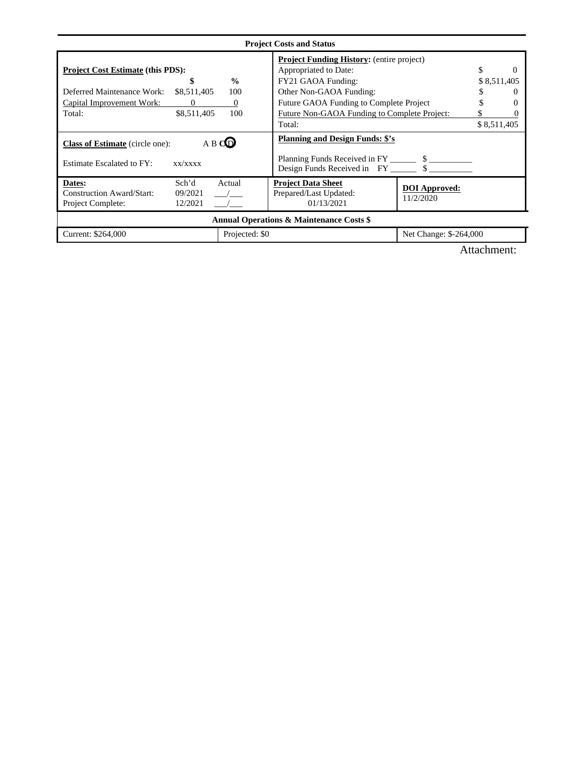|                                                                                                                               |                                          | <b>Project Costs and Status</b>                                                                                                                                       |                                   |                                    |
|-------------------------------------------------------------------------------------------------------------------------------|------------------------------------------|-----------------------------------------------------------------------------------------------------------------------------------------------------------------------|-----------------------------------|------------------------------------|
| <b>Project Cost Estimate (this PDS):</b><br>\$<br>Deferred Maintenance Work:<br>\$8,511,405<br>Capital Improvement Work:<br>0 | $\frac{0}{0}$<br>100<br>$\boldsymbol{0}$ | <b>Project Funding History:</b> (entire project)<br>Appropriated to Date:<br>FY21 GAOA Funding:<br>Other Non-GAOA Funding:<br>Future GAOA Funding to Complete Project |                                   | \$<br>0<br>\$8,511,405<br>$\theta$ |
| \$8,511,405<br>Total:                                                                                                         | 100                                      | Future Non-GAOA Funding to Complete Project:<br>Total:                                                                                                                |                                   | \$8,511,405                        |
| <b>Class of Estimate</b> (circle one):                                                                                        | A B CO                                   | <b>Planning and Design Funds: \$'s</b>                                                                                                                                |                                   |                                    |
| <b>Estimate Escalated to FY:</b><br>xx/xxxx                                                                                   |                                          | Design Funds Received in FY __________ \$                                                                                                                             |                                   |                                    |
| Sch'd<br>Dates:<br><b>Construction Award/Start:</b><br>09/2021<br>Project Complete:<br>12/2021                                | Actual                                   | <b>Project Data Sheet</b><br>Prepared/Last Updated:<br>01/13/2021                                                                                                     | <b>DOI</b> Approved:<br>11/2/2020 |                                    |
|                                                                                                                               |                                          | <b>Annual Operations &amp; Maintenance Costs \$</b>                                                                                                                   |                                   |                                    |
| Current: \$264,000                                                                                                            | Projected: \$0                           |                                                                                                                                                                       | Net Change: \$-264,000            |                                    |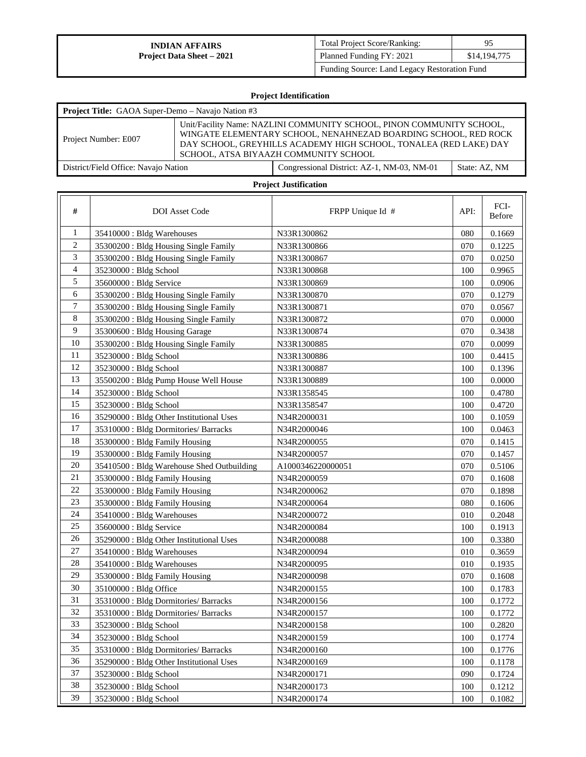| <b>Total Project Score/Ranking:</b>          | 95           |
|----------------------------------------------|--------------|
| Planned Funding FY: 2021                     | \$14,194,775 |
| Funding Source: Land Legacy Restoration Fund |              |

# **Project Identification**

| <b>Project Title:</b> GAOA Super-Demo – Navajo Nation #3 |                                                                                                                                                                                                                                                        |               |
|----------------------------------------------------------|--------------------------------------------------------------------------------------------------------------------------------------------------------------------------------------------------------------------------------------------------------|---------------|
| Project Number: E007                                     | Unit/Facility Name: NAZLINI COMMUNITY SCHOOL, PINON COMMUNITY SCHOOL,<br>WINGATE ELEMENTARY SCHOOL, NENAHNEZAD BOARDING SCHOOL, RED ROCK<br>DAY SCHOOL, GREYHILLS ACADEMY HIGH SCHOOL, TONALEA (RED LAKE) DAY<br>SCHOOL. ATSA BIYAAZH COMMUNITY SCHOOL |               |
| District/Field Office: Navajo Nation                     | Congressional District: AZ-1, NM-03, NM-01                                                                                                                                                                                                             | State: AZ, NM |

| #              | <b>DOI</b> Asset Code                      | FRPP Unique Id #  | API:    | FCI-<br>Before |
|----------------|--------------------------------------------|-------------------|---------|----------------|
| 1              | 35410000 : Bldg Warehouses                 | N33R1300862       | 080     | 0.1669         |
| $\overline{c}$ | 35300200 : Bldg Housing Single Family      | N33R1300866       | 070     | 0.1225         |
| 3              | 35300200 : Bldg Housing Single Family      | N33R1300867       | 070     | 0.0250         |
| $\overline{4}$ | 35230000 : Bldg School                     | N33R1300868       | 100     | 0.9965         |
| 5              | 35600000 : Bldg Service                    | N33R1300869       | 100     | 0.0906         |
| 6              | 35300200 : Bldg Housing Single Family      | N33R1300870       | 070     | 0.1279         |
| 7              | 35300200: Bldg Housing Single Family       | N33R1300871       | 070     | 0.0567         |
| 8              | 35300200 : Bldg Housing Single Family      | N33R1300872       | 070     | 0.0000         |
| 9              | 35300600: Bldg Housing Garage              | N33R1300874       | 070     | 0.3438         |
| 10             | 35300200 : Bldg Housing Single Family      | N33R1300885       | 070     | 0.0099         |
| 11             | 35230000 : Bldg School                     | N33R1300886       | 100     | 0.4415         |
| 12             | 35230000 : Bldg School                     | N33R1300887       | 100     | 0.1396         |
| 13             | 35500200 : Bldg Pump House Well House      | N33R1300889       | 100     | 0.0000         |
| 14             | 35230000 : Bldg School                     | N33R1358545       | 100     | 0.4780         |
| 15             | 35230000: Bldg School                      | N33R1358547       | 100     | 0.4720         |
| 16             | 35290000: Bldg Other Institutional Uses    | N34R2000031       | 100     | 0.1059         |
| 17             | 35310000: Bldg Dormitories/ Barracks       | N34R2000046       | 100     | 0.0463         |
| 18             | 35300000 : Bldg Family Housing             | N34R2000055       | 070     | 0.1415         |
| 19             | 35300000: Bldg Family Housing              | N34R2000057       | 070     | 0.1457         |
| 20             | 35410500 : Bldg Warehouse Shed Outbuilding | A1000346220000051 | 070     | 0.5106         |
| 21             | 35300000: Bldg Family Housing              | N34R2000059       | 070     | 0.1608         |
| 22             | 35300000 : Bldg Family Housing             | N34R2000062       | 070     | 0.1898         |
| 23             | 35300000: Bldg Family Housing              | N34R2000064       | 080     | 0.1606         |
| 24             | 35410000 : Bldg Warehouses                 | N34R2000072       | 010     | 0.2048         |
| 25             | 35600000 : Bldg Service                    | N34R2000084       | 100     | 0.1913         |
| 26             | 35290000: Bldg Other Institutional Uses    | N34R2000088       | 100     | 0.3380         |
| 27             | 35410000 : Bldg Warehouses                 | N34R2000094       | 010     | 0.3659         |
| 28             | 35410000: Bldg Warehouses                  | N34R2000095       | 010     | 0.1935         |
| 29             | 35300000 : Bldg Family Housing             | N34R2000098       | 070     | 0.1608         |
| 30             | 35100000 : Bldg Office                     | N34R2000155       | 100     | 0.1783         |
| 31             | 35310000: Bldg Dormitories/ Barracks       | N34R2000156       | 100     | 0.1772         |
| 32             | 35310000: Bldg Dormitories/ Barracks       | N34R2000157       | 100     | 0.1772         |
| 33             | 35230000 : Bldg School                     | N34R2000158       | $100\,$ | 0.2820         |
| 34             | 35230000 : Bldg School                     | N34R2000159       | 100     | 0.1774         |
| 35             | 35310000: Bldg Dormitories/ Barracks       | N34R2000160       | 100     | 0.1776         |
| 36             | 35290000 : Bldg Other Institutional Uses   | N34R2000169       | 100     | 0.1178         |
| 37             | 35230000 : Bldg School                     | N34R2000171       | 090     | 0.1724         |
| 38             | 35230000 : Bldg School                     | N34R2000173       | 100     | 0.1212         |
| 39             | 35230000 : Bldg School                     | N34R2000174       | 100     | 0.1082         |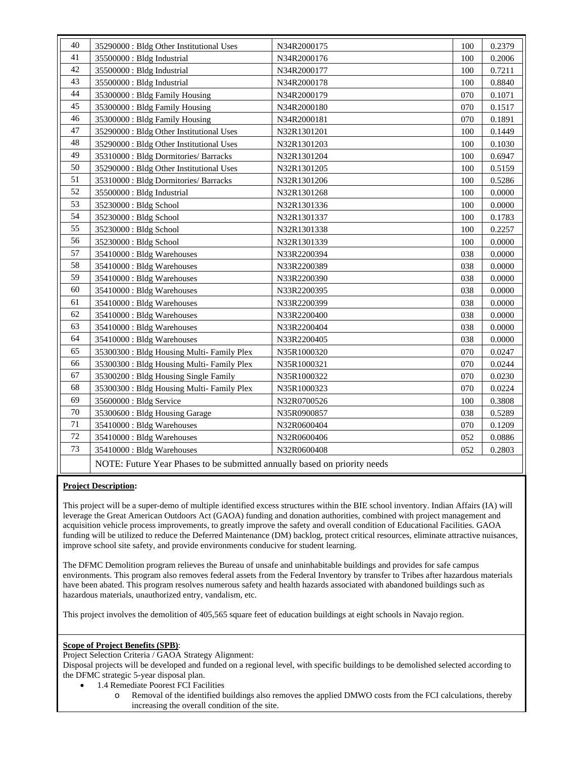| 40 | 35290000: Bldg Other Institutional Uses                                   | N34R2000175 | 100 | 0.2379 |
|----|---------------------------------------------------------------------------|-------------|-----|--------|
| 41 | 35500000 : Bldg Industrial                                                | N34R2000176 | 100 | 0.2006 |
| 42 | 35500000 : Bldg Industrial                                                | N34R2000177 | 100 | 0.7211 |
| 43 | 35500000 : Bldg Industrial                                                | N34R2000178 | 100 | 0.8840 |
| 44 | 35300000 : Bldg Family Housing                                            | N34R2000179 | 070 | 0.1071 |
| 45 | 35300000 : Bldg Family Housing                                            | N34R2000180 | 070 | 0.1517 |
| 46 | 35300000 : Bldg Family Housing                                            | N34R2000181 | 070 | 0.1891 |
| 47 | 35290000 : Bldg Other Institutional Uses                                  | N32R1301201 | 100 | 0.1449 |
| 48 | 35290000 : Bldg Other Institutional Uses                                  | N32R1301203 | 100 | 0.1030 |
| 49 | 35310000: Bldg Dormitories/ Barracks                                      | N32R1301204 | 100 | 0.6947 |
| 50 | 35290000 : Bldg Other Institutional Uses                                  | N32R1301205 | 100 | 0.5159 |
| 51 | 35310000: Bldg Dormitories/ Barracks                                      | N32R1301206 | 100 | 0.5286 |
| 52 | 35500000 : Bldg Industrial                                                | N32R1301268 | 100 | 0.0000 |
| 53 | 35230000 : Bldg School                                                    | N32R1301336 | 100 | 0.0000 |
| 54 | 35230000 : Bldg School                                                    | N32R1301337 | 100 | 0.1783 |
| 55 | 35230000 : Bldg School                                                    | N32R1301338 | 100 | 0.2257 |
| 56 | 35230000 : Bldg School                                                    | N32R1301339 | 100 | 0.0000 |
| 57 | 35410000: Bldg Warehouses                                                 | N33R2200394 | 038 | 0.0000 |
| 58 | 35410000 : Bldg Warehouses                                                | N33R2200389 | 038 | 0.0000 |
| 59 | 35410000: Bldg Warehouses                                                 | N33R2200390 | 038 | 0.0000 |
| 60 | 35410000 : Bldg Warehouses                                                | N33R2200395 | 038 | 0.0000 |
| 61 | 35410000 : Bldg Warehouses                                                | N33R2200399 | 038 | 0.0000 |
| 62 | 35410000 : Bldg Warehouses                                                | N33R2200400 | 038 | 0.0000 |
| 63 | 35410000: Bldg Warehouses                                                 | N33R2200404 | 038 | 0.0000 |
| 64 | 35410000: Bldg Warehouses                                                 | N33R2200405 | 038 | 0.0000 |
| 65 | 35300300 : Bldg Housing Multi- Family Plex                                | N35R1000320 | 070 | 0.0247 |
| 66 | 35300300 : Bldg Housing Multi- Family Plex                                | N35R1000321 | 070 | 0.0244 |
| 67 | 35300200 : Bldg Housing Single Family                                     | N35R1000322 | 070 | 0.0230 |
| 68 | 35300300 : Bldg Housing Multi- Family Plex                                | N35R1000323 | 070 | 0.0224 |
| 69 | 35600000 : Bldg Service                                                   | N32R0700526 | 100 | 0.3808 |
| 70 | 35300600 : Bldg Housing Garage                                            | N35R0900857 | 038 | 0.5289 |
| 71 | 35410000: Bldg Warehouses                                                 | N32R0600404 | 070 | 0.1209 |
| 72 | 35410000: Bldg Warehouses                                                 | N32R0600406 | 052 | 0.0886 |
| 73 | 35410000: Bldg Warehouses                                                 | N32R0600408 | 052 | 0.2803 |
|    | NOTE: Future Year Phases to be submitted annually based on priority needs |             |     |        |

## **Project Description:**

This project will be a super-demo of multiple identified excess structures within the BIE school inventory. Indian Affairs (IA) will leverage the Great American Outdoors Act (GAOA) funding and donation authorities, combined with project management and acquisition vehicle process improvements, to greatly improve the safety and overall condition of Educational Facilities. GAOA funding will be utilized to reduce the Deferred Maintenance (DM) backlog, protect critical resources, eliminate attractive nuisances, improve school site safety, and provide environments conducive for student learning.

The DFMC Demolition program relieves the Bureau of unsafe and uninhabitable buildings and provides for safe campus environments. This program also removes federal assets from the Federal Inventory by transfer to Tribes after hazardous materials have been abated. This program resolves numerous safety and health hazards associated with abandoned buildings such as hazardous materials, unauthorized entry, vandalism, etc.

This project involves the demolition of 405,565 square feet of education buildings at eight schools in Navajo region.

# **Scope of Project Benefits (SPB)**:

Project Selection Criteria / GAOA Strategy Alignment:

- 1.4 Remediate Poorest FCI Facilities
	- o Removal of the identified buildings also removes the applied DMWO costs from the FCI calculations, thereby increasing the overall condition of the site.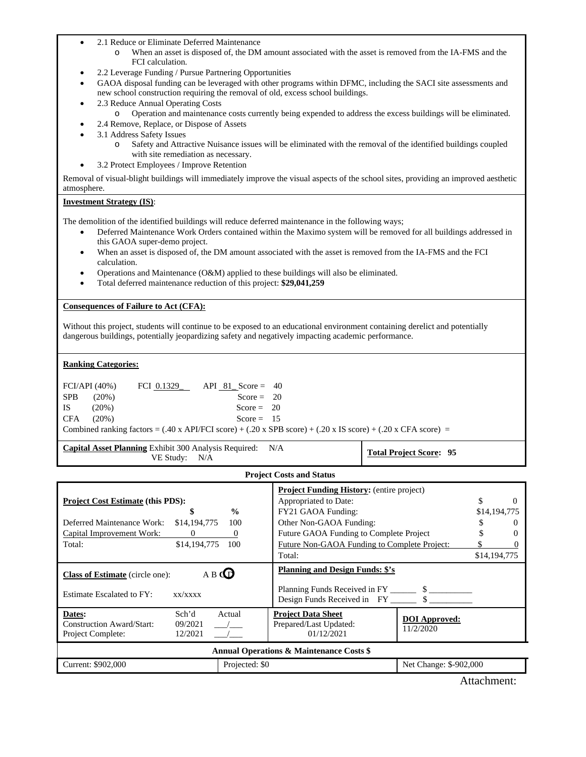- 2.1 Reduce or Eliminate Deferred Maintenance
	- o When an asset is disposed of, the DM amount associated with the asset is removed from the IA-FMS and the FCI calculation.
- 2.2 Leverage Funding / Pursue Partnering Opportunities
- GAOA disposal funding can be leveraged with other programs within DFMC, including the SACI site assessments and new school construction requiring the removal of old, excess school buildings.
- 2.3 Reduce Annual Operating Costs
	- o Operation and maintenance costs currently being expended to address the excess buildings will be eliminated.
	- 2.4 Remove, Replace, or Dispose of Assets
- 3.1 Address Safety Issues
	- o Safety and Attractive Nuisance issues will be eliminated with the removal of the identified buildings coupled with site remediation as necessary.
- 3.2 Protect Employees / Improve Retention

Removal of visual-blight buildings will immediately improve the visual aspects of the school sites, providing an improved aesthetic atmosphere.

#### **Investment Strategy (IS)**:

The demolition of the identified buildings will reduce deferred maintenance in the following ways;

- Deferred Maintenance Work Orders contained within the Maximo system will be removed for all buildings addressed in this GAOA super-demo project.
- When an asset is disposed of, the DM amount associated with the asset is removed from the IA-FMS and the FCI calculation.
- Operations and Maintenance (O&M) applied to these buildings will also be eliminated.
- Total deferred maintenance reduction of this project: **\$29,041,259**

#### **Consequences of Failure to Act (CFA):**

Without this project, students will continue to be exposed to an educational environment containing derelict and potentially dangerous buildings, potentially jeopardizing safety and negatively impacting academic performance.

#### **Ranking Categories:**

| FCI/API (40%) |          | FCI 0.1329 | API 81 Score = $40$ |                                                                                                                                                                     |  |
|---------------|----------|------------|---------------------|---------------------------------------------------------------------------------------------------------------------------------------------------------------------|--|
| <b>SPB</b>    | $(20\%)$ |            | Score = $20$        |                                                                                                                                                                     |  |
| IS            | $(20\%)$ |            | Score = $20$        |                                                                                                                                                                     |  |
| <b>CFA</b>    | (20%)    |            | Score = $15$        |                                                                                                                                                                     |  |
|               |          |            |                     | Combined ranking factors = $(.40 \times API/FCI \text{ score}) + (.20 \times SPB \text{ score}) + (.20 \times IS \text{ score}) + (.20 \times CFA \text{ score}) =$ |  |
|               |          |            |                     |                                                                                                                                                                     |  |

**Capital Asset Planning** Exhibit 300 Analysis Required: N/A

**Total Project Score: 95** 

#### **Project Costs and Status**

| <b>Project Cost Estimate (this PDS):</b><br>\$<br>Deferred Maintenance Work:<br>\$14,194,775<br>Capital Improvement Work:<br>$\Omega$<br>\$14,194,775<br>Total: | $\frac{0}{0}$<br>100<br>$\boldsymbol{0}$<br>100 | <b>Project Funding History:</b> (entire project)<br>Appropriated to Date:<br>FY21 GAOA Funding:<br>Other Non-GAOA Funding:<br>Future GAOA Funding to Complete Project<br>Future Non-GAOA Funding to Complete Project:<br>Total: |                                   | \$14,194,775<br>\$14,194,775 | $\Omega$ |
|-----------------------------------------------------------------------------------------------------------------------------------------------------------------|-------------------------------------------------|---------------------------------------------------------------------------------------------------------------------------------------------------------------------------------------------------------------------------------|-----------------------------------|------------------------------|----------|
| <b>Class of Estimate</b> (circle one):<br>Estimate Escalated to FY:<br>xx/xxxx                                                                                  | A B <b>ID</b>                                   | <b>Planning and Design Funds: \$'s</b>                                                                                                                                                                                          |                                   |                              |          |
| Sch'd<br>Dates:<br><b>Construction Award/Start:</b><br>09/2021<br>Project Complete:<br>12/2021                                                                  | Actual                                          | <b>Project Data Sheet</b><br>Prepared/Last Updated:<br>01/12/2021                                                                                                                                                               | <b>DOI</b> Approved:<br>11/2/2020 |                              |          |
|                                                                                                                                                                 |                                                 | <b>Annual Operations &amp; Maintenance Costs \$</b>                                                                                                                                                                             |                                   |                              |          |
| Current: \$902,000                                                                                                                                              | Projected: \$0                                  |                                                                                                                                                                                                                                 | Net Change: \$-902,000            |                              |          |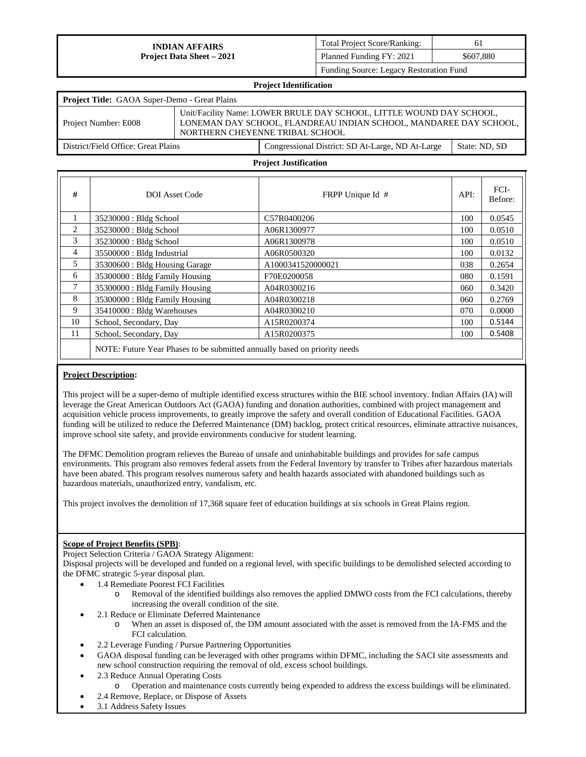| <b>Total Project Score/Ranking:</b>     | 61        |
|-----------------------------------------|-----------|
| Planned Funding FY: 2021                | \$607,880 |
| Eunding Course: Legacy Pesteration Eund |           |

Funding Source: Legacy Restoration Fund

|                                                      | Project Identification                                                                                                                                                       |               |
|------------------------------------------------------|------------------------------------------------------------------------------------------------------------------------------------------------------------------------------|---------------|
| <b>Project Title:</b> GAOA Super-Demo - Great Plains |                                                                                                                                                                              |               |
| Project Number: E008                                 | Unit/Facility Name: LOWER BRULE DAY SCHOOL, LITTLE WOUND DAY SCHOOL,<br>LONEMAN DAY SCHOOL, FLANDREAU INDIAN SCHOOL, MANDAREE DAY SCHOOL,<br>NORTHERN CHEYENNE TRIBAL SCHOOL |               |
| District/Field Office: Great Plains                  | Congressional District: SD At-Large, ND At-Large                                                                                                                             | State: ND, SD |

**Project Identification** 

#### **Project Justification**

| #              | <b>DOI</b> Asset Code                                                     | FRPP Unique Id #  | API: | FCI-<br>Before: |
|----------------|---------------------------------------------------------------------------|-------------------|------|-----------------|
| $\mathbf{1}$   | 35230000 : Bldg School                                                    | C57R0400206       | 100  | 0.0545          |
| $\overline{2}$ | 35230000 : Bldg School                                                    | A06R1300977       | 100  | 0.0510          |
| 3              | 35230000 : Bldg School                                                    | A06R1300978       | 100  | 0.0510          |
| $\overline{4}$ | $35500000$ : Bldg Industrial                                              | A06R0500320       | 100  | 0.0132          |
| 5              | 35300600: Bldg Housing Garage                                             | A1000341520000021 | 038  | 0.2654          |
| 6              | 35300000 : Bldg Family Housing                                            | F70E0200058       | 080  | 0.1591          |
| 7              | 35300000 : Bldg Family Housing                                            | A04R0300216       | 060  | 0.3420          |
| 8              | 35300000 : Bldg Family Housing                                            | A04R0300218       | 060  | 0.2769          |
| 9              | 35410000 : Bldg Warehouses                                                | A04R0300210       | 070  | 0.0000          |
| 10             | School, Secondary, Day                                                    | A15R0200374       | 100  | 0.5144          |
| 11             | School, Secondary, Day                                                    | A15R0200375       | 100  | 0.5408          |
|                | NOTE: Future Year Phases to be submitted annually based on priority needs |                   |      |                 |

#### **Project Description:**

This project will be a super-demo of multiple identified excess structures within the BIE school inventory. Indian Affairs (IA) will leverage the Great American Outdoors Act (GAOA) funding and donation authorities, combined with project management and acquisition vehicle process improvements, to greatly improve the safety and overall condition of Educational Facilities. GAOA funding will be utilized to reduce the Deferred Maintenance (DM) backlog, protect critical resources, eliminate attractive nuisances, improve school site safety, and provide environments conducive for student learning.

The DFMC Demolition program relieves the Bureau of unsafe and uninhabitable buildings and provides for safe campus environments. This program also removes federal assets from the Federal Inventory by transfer to Tribes after hazardous materials have been abated. This program resolves numerous safety and health hazards associated with abandoned buildings such as hazardous materials, unauthorized entry, vandalism, etc.

This project involves the demolition of 17,368 square feet of education buildings at six schools in Great Plains region.

#### **Scope of Project Benefits (SPB)**:

Project Selection Criteria / GAOA Strategy Alignment:

- 1.4 Remediate Poorest FCI Facilities
	- o Removal of the identified buildings also removes the applied DMWO costs from the FCI calculations, thereby increasing the overall condition of the site.
- 2.1 Reduce or Eliminate Deferred Maintenance
	- o When an asset is disposed of, the DM amount associated with the asset is removed from the IA-FMS and the FCI calculation.
- 2.2 Leverage Funding / Pursue Partnering Opportunities
- GAOA disposal funding can be leveraged with other programs within DFMC, including the SACI site assessments and new school construction requiring the removal of old, excess school buildings.
- 2.3 Reduce Annual Operating Costs
	- o Operation and maintenance costs currently being expended to address the excess buildings will be eliminated.
- 2.4 Remove, Replace, or Dispose of Assets
- 3.1 Address Safety Issues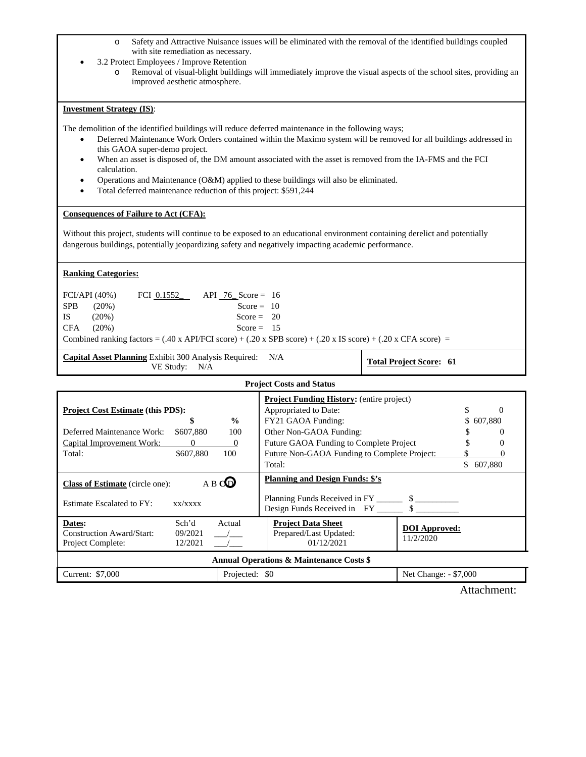- o Safety and Attractive Nuisance issues will be eliminated with the removal of the identified buildings coupled with site remediation as necessary.
- 3.2 Protect Employees / Improve Retention
	- o Removal of visual-blight buildings will immediately improve the visual aspects of the school sites, providing an improved aesthetic atmosphere.

#### **Investment Strategy (IS)**:

The demolition of the identified buildings will reduce deferred maintenance in the following ways;

- Deferred Maintenance Work Orders contained within the Maximo system will be removed for all buildings addressed in this GAOA super-demo project.
- When an asset is disposed of, the DM amount associated with the asset is removed from the IA-FMS and the FCI calculation.
- Operations and Maintenance (O&M) applied to these buildings will also be eliminated.
- Total deferred maintenance reduction of this project: \$591,244

## **Consequences of Failure to Act (CFA):**

Without this project, students will continue to be exposed to an educational environment containing derelict and potentially dangerous buildings, potentially jeopardizing safety and negatively impacting academic performance.

## **Ranking Categories:**

| CFA<br>$(20\%)$<br>Score = $15$<br>Combined ranking factors = $(.40 \times API/FCI \text{ score}) + (.20 \times SPB \text{ score}) + (.20 \times IS \text{ score}) + (.20 \times CFA \text{ score}) =$ |                                |
|--------------------------------------------------------------------------------------------------------------------------------------------------------------------------------------------------------|--------------------------------|
| <b>Capital Asset Planning Exhibit 300 Analysis Required:</b> N/A                                                                                                                                       | <b>Total Project Score: 61</b> |

**Project Costs and Status Project Cost Estimate (this PDS): \$ %**  Deferred Maintenance Work: \$607,880 100 Capital Improvement Work: 0 0 0 Total:  $$607,880$  100 **Project Funding History:** (entire project) Appropriated to Date:  $\qquad \qquad$  \$ 0 FY21 GAOA Funding: \$ 607,880 Other Non-GAOA Funding:  $\qquad \qquad$  \$ 0 Future GAOA Funding to Complete Project \$ 0 Future Non-GAOA Funding to Complete Project: \$ 0 Total: \$ 607,880 **Class of Estimate** (circle one): A B **C** D Estimate Escalated to FY: xx/xxxx **Planning and Design Funds: \$'s** Planning Funds Received in FY<br>Design Funds Received in FY<br>\$ Design Funds Received in FY\_ **Dates:** Sch'd Actual Construction Award/Start: 09/2021 Project Complete: 12/2021 **Project Data Sheet**  Prepared/Last Updated: 01/12/2021 **DOI Approved:**  11/2/2020 **Annual Operations & Maintenance Costs \$**  Current: \$7,000 Projected: \$0 Net Change: - \$7,000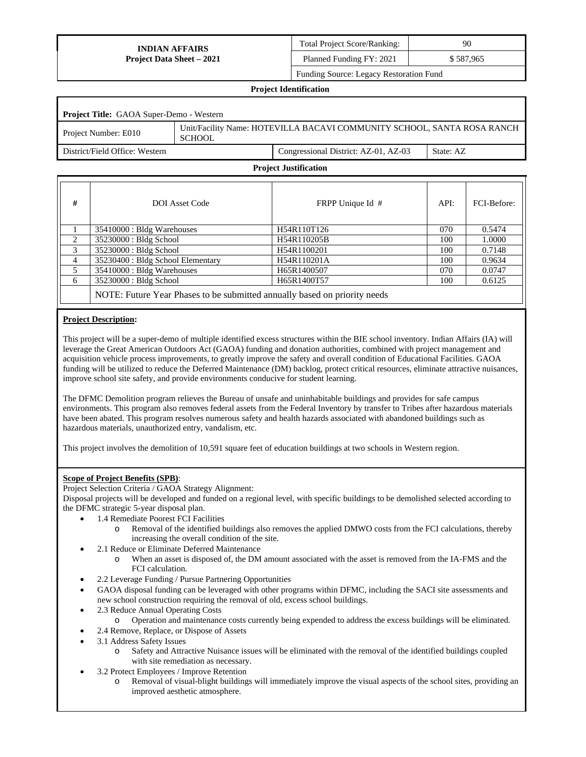Total Project Score/Ranking: 90 Planned Funding FY: 2021 \$ 587,965

Funding Source: Legacy Restoration Fund

# **Project Identification Project Title:** GAOA Super-Demo - Western Project Number: E010 Unit/Facility Name: HOTEVILLA BACAVI COMMUNITY SCHOOL, SANTA ROSA RANCH **SCHOOL** District/Field Office: Western Congressional District: AZ-01, AZ-03 State: AZ

#### **Project Justification**

| #              | <b>DOI</b> Asset Code                                                     | FRPP Unique Id # | API: | FCI-Before: |  |  |  |  |  |
|----------------|---------------------------------------------------------------------------|------------------|------|-------------|--|--|--|--|--|
|                | 35410000 : Bldg Warehouses                                                | H54R110T126      | 070  | 0.5474      |  |  |  |  |  |
| 2              | 35230000 : Bldg School                                                    | H54R110205B      | 100  | 1.0000      |  |  |  |  |  |
| 3              | 35230000 : Bldg School                                                    | H54R1100201      | 100  | 0.7148      |  |  |  |  |  |
| $\overline{4}$ | 35230400 : Bldg School Elementary                                         | H54R110201A      | 100  | 0.9634      |  |  |  |  |  |
| 5              | 35410000 : Bldg Warehouses                                                | H65R1400507      | 070  | 0.0747      |  |  |  |  |  |
| 6              | 35230000 : Bldg School                                                    | H65R1400T57      | 100  | 0.6125      |  |  |  |  |  |
|                | NOTE: Future Year Phases to be submitted annually based on priority needs |                  |      |             |  |  |  |  |  |

## **Project Description:**

This project will be a super-demo of multiple identified excess structures within the BIE school inventory. Indian Affairs (IA) will leverage the Great American Outdoors Act (GAOA) funding and donation authorities, combined with project management and acquisition vehicle process improvements, to greatly improve the safety and overall condition of Educational Facilities. GAOA funding will be utilized to reduce the Deferred Maintenance (DM) backlog, protect critical resources, eliminate attractive nuisances, improve school site safety, and provide environments conducive for student learning.

The DFMC Demolition program relieves the Bureau of unsafe and uninhabitable buildings and provides for safe campus environments. This program also removes federal assets from the Federal Inventory by transfer to Tribes after hazardous materials have been abated. This program resolves numerous safety and health hazards associated with abandoned buildings such as hazardous materials, unauthorized entry, vandalism, etc.

This project involves the demolition of 10,591 square feet of education buildings at two schools in Western region.

## **Scope of Project Benefits (SPB)**:

Project Selection Criteria / GAOA Strategy Alignment:

- 1.4 Remediate Poorest FCI Facilities
	- Removal of the identified buildings also removes the applied DMWO costs from the FCI calculations, thereby increasing the overall condition of the site.
	- 2.1 Reduce or Eliminate Deferred Maintenance
		- o When an asset is disposed of, the DM amount associated with the asset is removed from the IA-FMS and the FCI calculation.
- 2.2 Leverage Funding / Pursue Partnering Opportunities
- GAOA disposal funding can be leveraged with other programs within DFMC, including the SACI site assessments and new school construction requiring the removal of old, excess school buildings.
- 2.3 Reduce Annual Operating Costs
	- o Operation and maintenance costs currently being expended to address the excess buildings will be eliminated.
- 2.4 Remove, Replace, or Dispose of Assets
- 3.1 Address Safety Issues
	- o Safety and Attractive Nuisance issues will be eliminated with the removal of the identified buildings coupled with site remediation as necessary.
- 3.2 Protect Employees / Improve Retention
	- Removal of visual-blight buildings will immediately improve the visual aspects of the school sites, providing an improved aesthetic atmosphere.